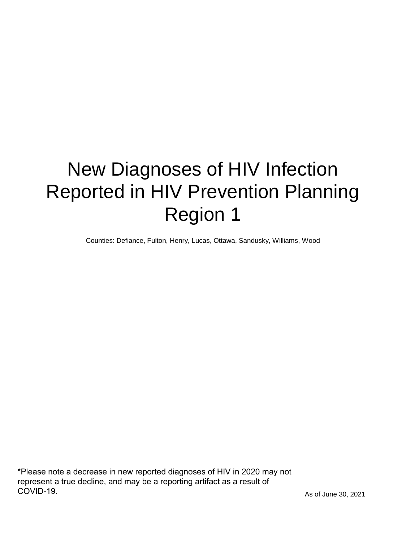# New Diagnoses of HIV Infection Reported in HIV Prevention Planning Region 1

Counties: Defiance, Fulton, Henry, Lucas, Ottawa, Sandusky, Williams, Wood

\*Please note a decrease in new reported diagnoses of HIV in 2020 may not represent a true decline, and may be a reporting artifact as a result of COVID-19.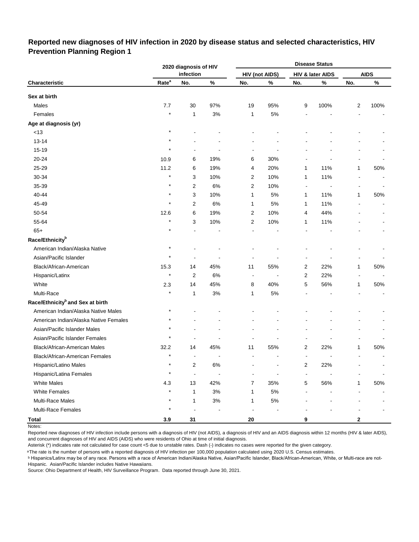## **Reported new diagnoses of HIV infection in 2020 by disease status and selected characteristics, HIV Prevention Planning Region 1**

|                                              |                   | 2020 diagnosis of HIV    |       |                          |                       |                      | <b>Disease Status</b> |                |             |
|----------------------------------------------|-------------------|--------------------------|-------|--------------------------|-----------------------|----------------------|-----------------------|----------------|-------------|
|                                              |                   | infection                |       |                          | <b>HIV (not AIDS)</b> |                      | HIV & later AIDS      |                | <b>AIDS</b> |
| Characteristic                               | Rate <sup>a</sup> | No.                      | $\%$  | No.                      | $\%$                  | No.                  | $\%$                  | No.            | $\%$        |
| Sex at birth                                 |                   |                          |       |                          |                       |                      |                       |                |             |
| Males                                        | 7.7               | 30                       | 97%   | 19                       | 95%                   | 9                    | 100%                  | $\overline{2}$ | 100%        |
| Females                                      | $\star$           | 1                        | 3%    | 1                        | $5\%$                 |                      |                       |                |             |
| Age at diagnosis (yr)                        |                   |                          |       |                          |                       |                      |                       |                |             |
| $<13$                                        | $\star$           |                          |       |                          |                       |                      |                       |                |             |
| $13 - 14$                                    |                   |                          |       |                          |                       |                      |                       |                |             |
| 15-19                                        |                   |                          |       |                          |                       |                      |                       |                |             |
| 20-24                                        | 10.9              | 6                        | 19%   | 6                        | 30%                   |                      |                       |                |             |
| 25-29                                        | 11.2              | 6                        | 19%   | 4                        | 20%                   | 1                    | 11%                   | 1              | 50%         |
| 30-34                                        | $\star$           | 3                        | 10%   | 2                        | 10%                   | 1                    | 11%                   |                |             |
| 35-39                                        |                   | 2                        | 6%    | 2                        | 10%                   | $\blacksquare$       |                       |                |             |
| 40-44                                        | $\star$           | 3                        | 10%   | 1                        | $5\%$                 | 1                    | 11%                   | 1              | 50%         |
| 45-49                                        | $\star$           | 2                        | 6%    | 1                        | $5\%$                 | 1                    | 11%                   |                |             |
| 50-54                                        | 12.6              | 6                        | 19%   | 2                        | 10%                   | 4                    | 44%                   |                |             |
| 55-64                                        |                   | 3                        | 10%   | 2                        | 10%                   | 1                    | 11%                   |                |             |
| $65+$                                        | $\star$           |                          |       |                          |                       |                      |                       |                |             |
| Race/Ethnicity <sup>b</sup>                  |                   |                          |       |                          |                       |                      |                       |                |             |
| American Indian/Alaska Native                | $\star$           |                          |       |                          |                       |                      |                       |                |             |
| Asian/Pacific Islander                       |                   |                          |       |                          |                       |                      |                       |                |             |
| Black/African-American                       | 15.3              | 14                       | 45%   | 11                       | 55%                   | 2                    | 22%                   | 1              | 50%         |
| Hispanic/Latinx                              | $\star$           | 2                        | 6%    | $\blacksquare$           |                       | 2                    | 22%                   |                |             |
| White                                        | 2.3               | 14                       | 45%   | 8                        | 40%                   | 5                    | 56%                   | 1              | 50%         |
| Multi-Race                                   |                   | 1                        | 3%    | 1                        | $5\%$                 |                      |                       |                |             |
| Race/Ethnicity <sup>b</sup> and Sex at birth |                   |                          |       |                          |                       |                      |                       |                |             |
| American Indian/Alaska Native Males          | $\star$           |                          |       |                          |                       |                      |                       |                |             |
| American Indian/Alaska Native Females        |                   |                          |       |                          |                       |                      |                       |                |             |
| Asian/Pacific Islander Males                 |                   |                          |       |                          |                       |                      |                       |                |             |
| Asian/Pacific Islander Females               |                   |                          |       |                          |                       |                      |                       |                |             |
| Black/African-American Males                 | 32.2              | 14                       | 45%   | 11                       | 55%                   | 2                    | 22%                   | 1              | 50%         |
| Black/African-American Females               | $\star$           | ÷                        |       |                          |                       |                      |                       |                |             |
| Hispanic/Latino Males                        | $\star$           | $\overline{\mathbf{c}}$  | 6%    |                          |                       | $\overline{2}$       | 22%                   |                |             |
| Hispanic/Latina Females                      | $\star$           | $\overline{\phantom{a}}$ |       |                          |                       | $\ddot{\phantom{a}}$ |                       |                |             |
| <b>White Males</b>                           | 4.3               | 13                       | 42%   | 7                        | 35%                   | 5                    | 56%                   | 1              | 50%         |
| <b>White Females</b>                         | $\star$           | 1                        | 3%    | 1                        | $5\%$                 |                      |                       |                |             |
| Multi-Race Males                             | $\star$           | $\mathbf{1}$             | $3\%$ | 1                        | $5\%$                 |                      |                       |                |             |
| Multi-Race Females                           | $\star$           | $\overline{a}$           |       | $\overline{\phantom{a}}$ |                       |                      |                       |                |             |
| <b>Total</b>                                 | 3.9               | 31                       |       | ${\bf 20}$               |                       | 9                    |                       | $\mathbf 2$    |             |

Notes:

Reported new diagnoses of HIV infection include persons with a diagnosis of HIV (not AIDS), a diagnosis of HIV and an AIDS diagnosis within 12 months (HIV & later AIDS), and concurrent diagnoses of HIV and AIDS (AIDS) who were residents of Ohio at time of initial diagnosis.

Asterisk (\*) indicates rate not calculated for case count <5 due to unstable rates. Dash (-) indicates no cases were reported for the given category.

<sup>a</sup>The rate is the number of persons with a reported diagnosis of HIV infection per 100,000 population calculated using 2020 U.S. Census estimates.

ᵇ Hispanics/Latinx may be of any race. Persons with a race of American Indian/Alaska Native, Asian/Pacific Islander, Black/African-American, White, or Multi-race are not-Hispanic. Asian/Pacific Islander includes Native Hawaiians.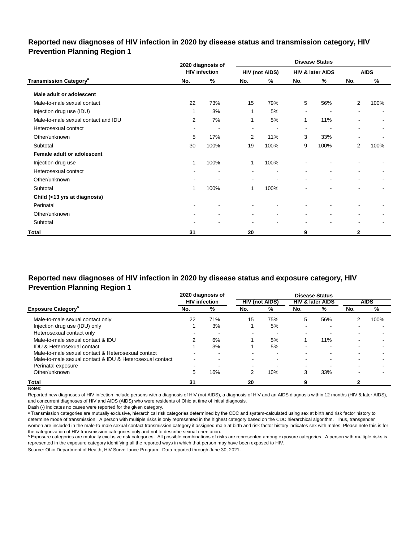## **Reported new diagnoses of HIV infection in 2020 by disease status and transmission category, HIV Prevention Planning Region 1**

|                                          |     | 2020 diagnosis of        |                          |                       |                          | <b>Disease Status</b>    |                          |                          |
|------------------------------------------|-----|--------------------------|--------------------------|-----------------------|--------------------------|--------------------------|--------------------------|--------------------------|
|                                          |     | <b>HIV infection</b>     |                          | <b>HIV (not AIDS)</b> |                          | HIV & later AIDS         |                          | <b>AIDS</b>              |
| <b>Transmission Category<sup>a</sup></b> | No. | %                        | No.                      | %                     | No.                      | %                        | No.                      | %                        |
| Male adult or adolescent                 |     |                          |                          |                       |                          |                          |                          |                          |
| Male-to-male sexual contact              | 22  | 73%                      | 15                       | 79%                   | 5                        | 56%                      | $\overline{2}$           | 100%                     |
| Injection drug use (IDU)                 | 1   | 3%                       | 1                        | 5%                    | $\blacksquare$           |                          | ۰                        |                          |
| Male-to-male sexual contact and IDU      | 2   | 7%                       | 1                        | 5%                    | 1                        | 11%                      |                          |                          |
| Heterosexual contact                     | ٠   | $\overline{\phantom{a}}$ | $\overline{\phantom{a}}$ | ٠                     | $\sim$                   | $\overline{\phantom{a}}$ | $\overline{\phantom{a}}$ | ۰                        |
| Other/unknown                            | 5   | 17%                      | 2                        | 11%                   | 3                        | 33%                      | $\overline{\phantom{a}}$ |                          |
| Subtotal                                 | 30  | 100%                     | 19                       | 100%                  | 9                        | 100%                     | 2                        | 100%                     |
| Female adult or adolescent               |     |                          |                          |                       |                          |                          |                          |                          |
| Injection drug use                       | 1   | 100%                     | 1                        | 100%                  |                          |                          |                          |                          |
| Heterosexual contact                     |     |                          |                          |                       |                          |                          | ۰                        |                          |
| Other/unknown                            |     |                          | $\overline{\phantom{a}}$ |                       | $\overline{\phantom{a}}$ | $\blacksquare$           | $\sim$                   | $\overline{\phantom{a}}$ |
| Subtotal                                 | 1   | 100%                     | 1                        | 100%                  |                          |                          |                          |                          |
| Child (<13 yrs at diagnosis)             |     |                          |                          |                       |                          |                          |                          |                          |
| Perinatal                                |     | $\blacksquare$           |                          |                       |                          |                          |                          |                          |
| Other/unknown                            |     | $\blacksquare$           | $\blacksquare$           | $\blacksquare$        | $\blacksquare$           | $\blacksquare$           | $\blacksquare$           |                          |
| Subtotal                                 |     |                          |                          |                       | $\overline{\phantom{a}}$ | ۰                        | $\overline{\phantom{a}}$ |                          |
| Total                                    | 31  |                          | 20                       |                       | 9                        |                          | 2                        |                          |

# **Reported new diagnoses of HIV infection in 2020 by disease status and exposure category, HIV Prevention Planning Region 1**

|                                                          |      | 2020 diagnosis of    |                          |                       |                          | <b>Disease Status</b>       |     |             |
|----------------------------------------------------------|------|----------------------|--------------------------|-----------------------|--------------------------|-----------------------------|-----|-------------|
|                                                          |      | <b>HIV</b> infection |                          | <b>HIV (not AIDS)</b> |                          | <b>HIV &amp; later AIDS</b> |     | <b>AIDS</b> |
| <b>Exposure Category</b> "                               | No.  | %                    | No.                      | %                     | No.                      | %                           | No. | %           |
| Male-to-male sexual contact only                         | 22   | 71%                  | 15                       | 75%                   | 5                        | 56%                         | 2   | 100%        |
| Injection drug use (IDU) only                            |      | 3%                   |                          | 5%                    |                          | $\overline{\phantom{0}}$    |     |             |
| Heterosexual contact only                                |      | -                    | $\overline{\phantom{0}}$ |                       | $\overline{\phantom{0}}$ |                             |     |             |
| Male-to-male sexual contact & IDU                        |      | 6%                   |                          | 5%                    |                          | 11%                         |     |             |
| IDU & Heterosexual contact                               |      | 3%                   |                          | 5%                    |                          |                             |     |             |
| Male-to-male sexual contact & Heterosexual contact       |      | -                    | $\overline{\phantom{0}}$ | -                     | -                        |                             |     |             |
| Male-to-male sexual contact & IDU & Heterosexual contact | $\,$ | -                    |                          |                       | -                        |                             |     |             |
| Perinatal exposure                                       |      |                      | $\overline{\phantom{0}}$ |                       | $\overline{\phantom{0}}$ |                             |     |             |
| Other/unknown                                            | 5    | 16%                  |                          | 10%                   | 3                        | 33%                         |     |             |
| Total                                                    | 31   |                      | 20                       |                       |                          |                             |     |             |

Notes:

Reported new diagnoses of HIV infection include persons with a diagnosis of HIV (not AIDS), a diagnosis of HIV and an AIDS diagnosis within 12 months (HIV & later AIDS), and concurrent diagnoses of HIV and AIDS (AIDS) who were residents of Ohio at time of initial diagnosis.

Dash (-) indicates no cases were reported for the given category.

a Transmission categories are mutually exclusive, hierarchical risk categories determined by the CDC and system-calculated using sex at birth and risk factor history to determine mode of transmission. A person with multiple risks is only represented in the highest category based on the CDC hierarchical algorithm. Thus, transgender women are included in the male-to-male sexual contact transmission category if assigned male at birth and risk factor history indicates sex with males. Please note this is for the categorization of HIV transmission categories only and not to describe sexual orientation.

**b** Exposure categories are mutually exclusive risk categories. All possible combinations of risks are represented among exposure categories. A person with multiple risks is represented in the exposure category identifying all the reported ways in which that person may have been exposed to HIV.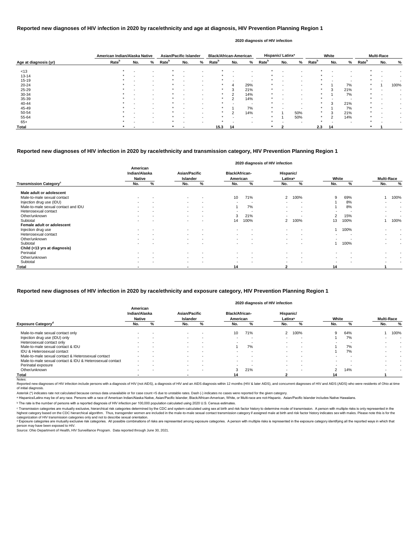|                       | American Indian/Alaska Native |                          |                          | <b>Asian/Pacific Islander</b> |                          |   | <b>Black/African-American</b> |     |                          |                   | Hispanic/Latinx <sup>a</sup> |     |                   | White                    |     |                   | <b>Multi-Race</b> |      |
|-----------------------|-------------------------------|--------------------------|--------------------------|-------------------------------|--------------------------|---|-------------------------------|-----|--------------------------|-------------------|------------------------------|-----|-------------------|--------------------------|-----|-------------------|-------------------|------|
| Age at diagnosis (yr) | Rate <sup>b</sup>             | No.                      | %                        | <b>Rate</b> <sup>b</sup>      | No.                      | % | Rate <sup>b</sup>             | No. | %                        | Rate <sup>b</sup> | No.                          | %   | Rate <sup>b</sup> | No.                      | %   | Rate <sup>b</sup> | No.               | %    |
| < 13                  | $\star$                       | $\overline{\phantom{0}}$ | $\overline{\phantom{a}}$ |                               |                          |   |                               |     |                          | *                 |                              |     |                   |                          |     |                   |                   |      |
| $13 - 14$             |                               |                          | $\sim$                   |                               |                          |   |                               |     | $\overline{\phantom{a}}$ |                   |                              |     |                   |                          |     |                   |                   |      |
| $15 - 19$             |                               | $\overline{\phantom{0}}$ | $\sim$                   |                               | $\sim$                   |   |                               |     | $\sim$                   | *                 |                              |     |                   | $\overline{\phantom{0}}$ |     | $\star$           |                   |      |
| $20 - 24$             |                               |                          | $\sim$                   |                               |                          |   |                               |     | 29%                      | *                 |                              |     |                   |                          | 7%  | $\ast$            |                   | 100% |
| $25 - 29$             |                               | $\overline{\phantom{0}}$ |                          |                               | $\overline{\phantom{a}}$ |   | $\ast$                        |     | 21%                      | *                 |                              |     |                   | 3                        | 21% | $\star$           |                   |      |
| 30-34                 |                               |                          | $\sim$                   |                               | $\overline{\phantom{0}}$ |   |                               |     | 14%                      |                   |                              |     |                   |                          | 7%  | $\star$           |                   |      |
| 35-39                 |                               | $\overline{\phantom{0}}$ | $\sim$                   |                               | $\overline{\phantom{a}}$ |   | $\ast$                        | C   | 14%                      |                   |                              |     |                   | $\overline{\phantom{a}}$ | . . |                   |                   |      |
| 40-44                 |                               |                          |                          |                               |                          |   |                               |     | -                        |                   |                              |     |                   | 3                        | 21% | $\star$           |                   |      |
| 45-49                 |                               |                          |                          |                               | $\overline{\phantom{a}}$ |   |                               |     | 7%                       |                   |                              |     |                   |                          | 7%  |                   |                   |      |
| 50-54                 |                               |                          |                          |                               |                          |   |                               |     | 14%                      |                   |                              | 50% |                   | 3                        | 21% |                   |                   |      |
| 55-64                 |                               |                          |                          |                               |                          |   |                               |     |                          |                   |                              | 50% |                   | C                        | 14% | $\star$           |                   |      |
| $65+$                 |                               |                          | $\overline{\phantom{a}}$ |                               | $\overline{\phantom{0}}$ |   |                               |     | $\overline{\phantom{a}}$ | *                 |                              |     |                   |                          |     |                   |                   |      |
| Total                 |                               |                          |                          |                               |                          |   | 15.3                          | 14  |                          |                   |                              |     | 2.3               | 14                       |     |                   |                   |      |

Reported new diagnoses of HIV infection include persons with a diagnosis of HIV (not AIDS), a diagnosis of HIV and an AIDS diagnosis within 12 months (HIV & later AIDS), and concurrent diagnoses of HIV and AIDS (AIDS) who of initial diagnosis.

|                                           |                                            |   |                                  |                          |                                   | 2020 diagnosis of HIV infection |                                  |                          |       |      |                          |        |
|-------------------------------------------|--------------------------------------------|---|----------------------------------|--------------------------|-----------------------------------|---------------------------------|----------------------------------|--------------------------|-------|------|--------------------------|--------|
|                                           | American<br>Indian/Alaska<br><b>Native</b> |   | <b>Asian/Pacific</b><br>Islander |                          | <b>Black/African-</b><br>American |                                 | Hispanic/<br>Latinx <sup>a</sup> |                          | White |      | <b>Multi-Race</b>        |        |
| <b>Transmission Category</b> <sup>c</sup> | No.                                        | % | No.                              | %                        | No.                               | %                               | No.                              | %                        | No.   | %    | No.                      | %      |
| Male adult or adolescent                  |                                            |   |                                  |                          |                                   |                                 |                                  |                          |       |      |                          |        |
| Male-to-male sexual contact               | $\sim$                                     |   | $\sim$                           | $\overline{\phantom{a}}$ | 10                                | 71%                             | $\overline{2}$                   | 100%                     | 9     | 69%  |                          | 100%   |
| Injection drug use (IDU)                  | $\blacksquare$                             |   | $\sim$                           | $\overline{\phantom{a}}$ | $\,$                              | - 1                             | $\,$                             | $\overline{\phantom{a}}$ |       | 8%   |                          |        |
| Male-to-male sexual contact and IDU       | $\overline{\phantom{a}}$                   |   | $\sim$                           | $\overline{\phantom{a}}$ |                                   | 7%                              | $\,$                             | $\,$ $\,$                |       | 8%   | $\,$                     | $\sim$ |
| Heterosexual contact                      | $\blacksquare$                             |   | $\sim$                           | $\overline{\phantom{a}}$ | $\blacksquare$                    |                                 | $\blacksquare$                   | $\overline{\phantom{a}}$ |       |      | $\,$                     | $\sim$ |
| Other/unknown                             | $\overline{\phantom{0}}$                   |   | $\sim$                           | $\overline{\phantom{a}}$ | 3                                 | 21%                             |                                  | $\overline{\phantom{0}}$ | 2     | 15%  | $\overline{\phantom{0}}$ |        |
| Subtotal                                  |                                            |   |                                  |                          | 14                                | 100%                            | $\overline{2}$                   | 100%                     | 13    | 100% |                          | 100%   |
| Female adult or adolescent                |                                            |   |                                  |                          |                                   |                                 |                                  |                          |       |      |                          |        |
| Injection drug use                        | $\sim$                                     |   | $\sim$                           | $\overline{\phantom{a}}$ | $\sim$                            | $\overline{\phantom{a}}$        | $\blacksquare$                   | $\overline{\phantom{a}}$ |       | 100% |                          |        |
| Heterosexual contact                      |                                            |   | $\sim$                           |                          |                                   |                                 |                                  | $\overline{\phantom{0}}$ |       |      |                          |        |
| Other/unknown                             |                                            |   | $\sim$                           | $\overline{\phantom{0}}$ | $\sim$                            |                                 |                                  | $\overline{\phantom{0}}$ |       |      | $\overline{\phantom{0}}$ |        |
| Subtotal                                  | $\sim$                                     |   | $\sim$                           |                          | $\,$                              |                                 | $\blacksquare$                   | $\overline{\phantom{a}}$ |       | 100% | $\,$                     |        |
| Child (<13 yrs at diagnosis)              |                                            |   |                                  |                          |                                   |                                 |                                  |                          |       |      |                          |        |
| Perinatal                                 |                                            |   |                                  |                          |                                   |                                 |                                  |                          |       |      |                          |        |
| Other/unknown                             | $\blacksquare$                             |   | $\sim$                           | $\overline{\phantom{a}}$ | $\,$                              | $\overline{\phantom{a}}$        | $\overline{\phantom{a}}$         | $\overline{\phantom{a}}$ |       |      |                          |        |
| Subtotal                                  |                                            |   | $\sim$                           |                          | $\blacksquare$                    |                                 | $\blacksquare$                   | $\overline{\phantom{0}}$ |       |      |                          |        |
| <b>Total</b>                              |                                            |   | $\overline{\phantom{a}}$         |                          | 14                                |                                 | 2                                |                          | 14    |      |                          |        |

© Transmission categories are mutually exclusive, hierarchical risk categories determined by the CDC and system-calculated using sex at birth and risk factor history to determine mode of transmission. A person with multip highest category based on the CDC hierarchical algorithm. Thus, transgender women are included in the male-to-male sexual contact transmission category if assigned male at birth and risk factor history indicates sex with m categorization of HIV transmission categories only and not to describe sexual orientation.

## **Reported new diagnoses of HIV infection in 2020 by race/ethnicity and age at diagnosis, HIV Prevention Planning Region 1**

d Exposure categories are mutually exclusive risk categories. All possible combinations of risks are represented among exposure categories. A person with multiple risks is represented in the exposure category identifying a person may have been exposed to HIV.

Source: Ohio Department of Health, HIV Surveillance Program. Data reported through June 30, 2021.

#### **2020 diagnosis of HIV infection**

## **Reported new diagnoses of HIV infection in 2020 by race/ethnicity and transmission category, HIV Prevention Planning Region 1**

|                                                          |                                            |   |                                         |                          |                                   | 2020 diagnosis of HIV infection |                                  |                          |                |     |     |                   |
|----------------------------------------------------------|--------------------------------------------|---|-----------------------------------------|--------------------------|-----------------------------------|---------------------------------|----------------------------------|--------------------------|----------------|-----|-----|-------------------|
|                                                          | American<br>Indian/Alaska<br><b>Native</b> |   | <b>Asian/Pacific</b><br><b>Islander</b> |                          | <b>Black/African-</b><br>American |                                 | Hispanic/<br>Latinx <sup>a</sup> |                          | White          |     |     | <b>Multi-Race</b> |
| Exposure Category <sup>d</sup>                           | No.                                        | % | No.                                     | %                        | No.                               | %                               | No.                              | %                        | No.            | %   | No. | $\%$              |
| Male-to-male sexual contact only                         |                                            |   |                                         |                          | 10                                | 71%                             | 2                                | 100%                     | 9              | 64% |     | 100%              |
| Injection drug use (IDU) only                            |                                            |   | $\sim$                                  | . .                      |                                   |                                 |                                  |                          |                | 7%  |     |                   |
| Heterosexual contact only                                |                                            |   | $\sim$                                  | $\overline{\phantom{a}}$ | $\sim$                            | $\overline{\phantom{a}}$        | $\overline{\phantom{a}}$         | $\overline{a}$           |                |     |     |                   |
| Male-to-male sexual contact & IDU                        |                                            |   | $\sim$                                  | $\sim$                   |                                   | 7%                              | $\overline{\phantom{0}}$         | $\overline{\phantom{a}}$ |                | 7%  |     |                   |
| IDU & Heterosexual contact                               |                                            |   | $\sim$                                  |                          |                                   |                                 |                                  | $\overline{\phantom{0}}$ |                | 7%  |     |                   |
| Male-to-male sexual contact & Heterosexual contact       |                                            |   | $\sim$                                  | <b>.</b>                 |                                   |                                 |                                  |                          |                |     |     |                   |
| Male-to-male sexual contact & IDU & Heterosexual contact |                                            |   |                                         | . .                      |                                   | -                               |                                  | $\overline{\phantom{a}}$ |                |     |     |                   |
| Perinatal exposure                                       | $\overline{\phantom{0}}$                   |   | $\sim$                                  | $\overline{\phantom{a}}$ | ۰.                                | $\overline{\phantom{a}}$        | $\overline{\phantom{0}}$         | $\qquad \qquad$          | $\sim$         |     |     |                   |
| Other/unknown                                            | $\overline{\phantom{0}}$                   |   | $\sim$                                  | $\overline{\phantom{a}}$ | 3                                 | 21%                             | $\overline{\phantom{0}}$         | $\overline{\phantom{a}}$ | $\overline{2}$ | 14% |     |                   |
| Total                                                    |                                            |   |                                         |                          | 14                                |                                 |                                  |                          |                |     |     |                   |
| Notes:                                                   |                                            |   |                                         |                          |                                   |                                 |                                  |                          |                |     |     |                   |

## **Reported new diagnoses of HIV infection in 2020 by race/ethnicity and exposure category, HIV Prevention Planning Region 1**

Asterisk (\*) indicates rate not calculated because census data unavailable or for case count <5 due to unstable rates. Dash (-) indicates no cases were reported for the given category.

a Hispanics/Latinx may be of any race. Persons with a race of American Indian/Alaska Native, Asian/Pacific Islander, Black/African-American, White, or Multi-race are not-Hispanic. Asian/Pacific Islander includes Native Haw

ᵇ The rate is the number of persons with a reported diagnosis of HIV infection per 100,000 population calculated using 2020 U.S. Census estimates.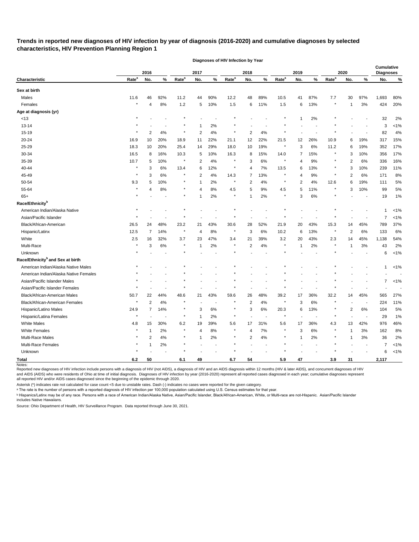# **Trends in reported new diagnoses of HIV infection by year of diagnosis (2016-2020) and cumulative diagnoses by selected characteristics, HIV Prevention Planning Region 1**

|                                              |                   | 2016           |                          |                   | 2017           |                |                   | 2018           |        |                   | 2019         |        |                   | 2020           |                          | <b>Cumulative</b><br><b>Diagnoses</b> |         |
|----------------------------------------------|-------------------|----------------|--------------------------|-------------------|----------------|----------------|-------------------|----------------|--------|-------------------|--------------|--------|-------------------|----------------|--------------------------|---------------------------------------|---------|
| Characteristic                               | Rate <sup>a</sup> | No.            | $\%$                     | Rate <sup>a</sup> | No.            | $\%$           | Rate <sup>a</sup> | No.            | %      | Rate <sup>a</sup> | No.          | %      | Rate <sup>a</sup> | No.            | %                        | No.                                   | %       |
| Sex at birth                                 |                   |                |                          |                   |                |                |                   |                |        |                   |              |        |                   |                |                          |                                       |         |
| Males                                        | 11.6              | 46             | 92%                      | 11.2              | 44             | 90%            | 12.2              | 48             | 89%    | 10.5              | 41           | 87%    | 7.7               | 30             | 97%                      | 1,693                                 | 80%     |
| Females                                      | $\star$           | $\overline{4}$ | 8%                       | $1.2$             | 5              | 10%            | 1.5               | 6              | 11%    | 1.5               | 6            | 13%    |                   | -1             | 3%                       | 424                                   | 20%     |
| Age at diagnosis (yr)                        |                   |                |                          |                   |                |                |                   |                |        |                   |              |        |                   |                |                          |                                       |         |
| < 13                                         |                   |                |                          |                   |                |                |                   |                |        |                   | 1            | $2\%$  |                   |                |                          | 32                                    | 2%      |
| $13 - 14$                                    |                   |                |                          |                   |                | 2%             |                   |                |        |                   |              |        |                   |                |                          | 3                                     | $< 1\%$ |
| 15-19                                        |                   | $\overline{2}$ | 4%                       | $\ast$            | $\overline{2}$ | 4%             |                   | 2              | 4%     |                   |              |        |                   |                |                          | 82                                    | 4%      |
| 20-24                                        | 16.9              | 10             | 20%                      | 18.9              | 11             | 22%            | 21.1              | 12             | 22%    | 21.5              | 12           | 26%    | 10.9              | 6              | 19%                      | 317                                   | 15%     |
| 25-29                                        | 18.3              | 10             | 20%                      | 25.4              | 14             | 29%            | 18.0              | 10             | 19%    | $\star$           | 3            | 6%     | 11.2              | 6              | 19%                      | 352                                   | 17%     |
| 30-34                                        | 16.5              | 8              | 16%                      | 10.3              | 5              | 10%            | 16.3              | 8              | 15%    | 14.0              | 7            | 15%    |                   | 3              | 10%                      | 356                                   | 17%     |
| 35-39                                        | 10.7              | 5              | 10%                      | $\star$           | $\overline{2}$ | 4%             | $^\ast$           | 3              | 6%     |                   | 4            | 9%     |                   | 2              | 6%                       | 336                                   | 16%     |
| 40-44                                        | $\star$           | 3              | 6%                       | 13.4              | 6              | 12%            | $^\ast$           | 4              | 7%     | 13.5              | 6            | 13%    |                   | 3              | 10%                      | 239                                   | 11%     |
| 45-49                                        | $^\star$          | 3              | 6%                       | $\star$           | 2              | 4%             | 14.3              | 7              | 13%    |                   | 4            | 9%     |                   | 2              | 6%                       | 171                                   | 8%      |
| 50-54                                        | 9.3               | 5              | 10%                      | $\star$           | -1             | 2%             | $\star$           | 2              | 4%     | $\star$           | 2            | 4%     | 12.6              | 6              | 19%                      | 111                                   | 5%      |
| 55-64                                        |                   | 4              | 8%                       | $\star$           | $\overline{4}$ | 8%             | 4.5               | 5              | 9%     | 4.5               | 5            | 11%    |                   | 3              | 10%                      | 99                                    | 5%      |
| $65+$                                        |                   |                |                          | $\star$           |                | 2%             | $\star$           |                | 2%     |                   | 3            | 6%     |                   |                |                          | 19                                    | 1%      |
| Race/Ethnicity <sup>b</sup>                  |                   |                |                          |                   |                |                |                   |                |        |                   |              |        |                   |                |                          |                                       |         |
| American Indian/Alaska Native                |                   |                |                          |                   |                |                |                   |                |        |                   |              |        |                   |                |                          |                                       | $< 1\%$ |
| Asian/Pacific Islander                       |                   |                |                          |                   |                |                |                   |                |        |                   |              |        |                   |                |                          | 7                                     | $< 1\%$ |
| Black/African-American                       | 26.5              | 24             | 48%                      | 23.2              | 21             | 43%            | 30.6              | 28             | 52%    | 21.9              | 20           | 43%    | 15.3              | 14             | 45%                      | 789                                   | 37%     |
| Hispanic/Latinx                              | 12.5              | 7              | 14%                      | $\star$           | 4              | 8%             | $^\ast$           | 3              | 6%     | 10.2              | 6            | 13%    | $\star$           | $\overline{c}$ | 6%                       | 133                                   | 6%      |
| White                                        | 2.5               | 16             | 32%                      | 3.7               | 23             | 47%            | 3.4               | 21             | 39%    | 3.2               | 20           | 43%    | 2.3               | 14             | 45%                      | 1,138                                 | 54%     |
| Multi-Race                                   |                   | 3              | 6%                       | $\star$           | -1             | 2%             | $^\ast$           | 2              | 4%     | $\star$           | -1           | 2%     |                   |                | 3%                       | 43                                    | 2%      |
| Unknown                                      |                   |                |                          |                   |                |                |                   |                |        |                   |              |        |                   |                |                          | 6                                     | $< 1\%$ |
| Race/Ethnicity <sup>b</sup> and Sex at birth |                   |                |                          |                   |                |                |                   |                |        |                   |              |        |                   |                |                          |                                       |         |
| American Indian/Alaska Native Males          |                   |                |                          |                   |                |                |                   |                |        |                   |              |        |                   |                |                          | 1                                     | $< 1\%$ |
| American Indian/Alaska Native Females        |                   |                |                          |                   |                |                |                   |                |        |                   |              |        |                   |                |                          |                                       |         |
| Asian/Pacific Islander Males                 |                   |                |                          |                   |                |                |                   |                |        |                   |              |        |                   |                |                          | 7                                     | $< 1\%$ |
| Asian/Pacific Islander Females               |                   |                |                          |                   |                |                |                   |                |        |                   |              |        |                   |                |                          |                                       |         |
| Black/African-American Males                 | 50.7              | 22             | 44%                      | 48.6              | 21             | 43%            | 59.6              | 26             | 48%    | 39.2              | 17           | 36%    | 32.2              | 14             | 45%                      | 565                                   | 27%     |
| Black/African-American Females               |                   | $\overline{c}$ | 4%                       |                   |                |                |                   | 2              | 4%     |                   | 3            | 6%     |                   |                |                          | 224                                   | 11%     |
| Hispanic/Latino Males                        | 24.9              | 7              | 14%                      | $\star$           | 3              | $6\%$          |                   | 3              | $6\%$  | 20.3              | 6            | 13%    |                   | 2              | $6\%$                    | 104                                   | 5%      |
| Hispanic/Latina Females                      |                   |                | $\overline{\phantom{a}}$ | $\star$           | -1             | 2%             | $\star$           |                |        | $\star$           |              |        |                   |                | $\overline{\phantom{a}}$ | 29                                    | 1%      |
| White Males                                  | 4.8               | 15             | 30%                      | $6.2\,$           | 19             | 39%            | 5.6               | 17             | 31%    | 5.6               | 17           | 36%    | 4.3               | 13             | 42%                      | 976                                   | 46%     |
| <b>White Females</b>                         |                   | -1             | 2%                       | $\star$           | $\overline{4}$ | $8\%$          | $\star$           | 4              | $7\%$  |                   | 3            | $6\%$  |                   | 1              | 3%                       | 162                                   | 8%      |
| Multi-Race Males                             |                   | $\overline{2}$ | 4%                       | $\star$           | -1             | 2%             |                   | $\overline{c}$ | $4%$   |                   | $\mathbf{1}$ | 2%     |                   | 1              | 3%                       | 36                                    | 2%      |
| Multi-Race Females                           |                   |                | 2%                       | $\star$           |                | $\overline{a}$ |                   |                | $\sim$ |                   |              | $\sim$ |                   |                | $\sim$                   | 7                                     | $< 1\%$ |
| Unknown                                      |                   |                |                          |                   |                |                |                   |                |        |                   |              |        |                   |                |                          | 6                                     | $< 1\%$ |
| <b>Total</b>                                 | 6.2               | 50             |                          | 6.1               | 49             |                | 6.7               | 54             |        | 5.9               | 47           |        | 3.9               | 31             |                          | 2,117                                 |         |
| Notes:                                       |                   |                |                          |                   |                |                |                   |                |        |                   |              |        |                   |                |                          |                                       |         |

**Diagnoses of HIV Infection by Year**

Reported new diagnoses of HIV infection include persons with a diagnosis of HIV (not AIDS), a diagnosis of HIV and an AIDS diagnosis within 12 months (HIV & later AIDS), and concurrent diagnoses of HIV and AIDS (AIDS) who were residents of Ohio at time of initial diagnosis. Diagnoses of HIV infection by year (2016-2020) represent all reported cases diagnosed in each year; cumulative diagnoses represent all reported HIV and/or AIDS cases diagnosed since the beginning of the epidemic through 2020.

Asterisk (\*) indicates rate not calculated for case count <5 due to unstable rates. Dash (-) indicates no cases were reported for the given category.

 $\,{}^{\rm a}$  The rate is the number of persons with a reported diagnosis of HIV infection per 100,000 population calculated using U.S. Census estimates for that year.

ᵇ Hispanics/Latinx may be of any race. Persons with a race of American Indian/Alaska Native, Asian/Pacific Islander, Black/African-American, White, or Multi-race are not-Hispanic. Asian/Pacific Islander includes Native Hawaiians.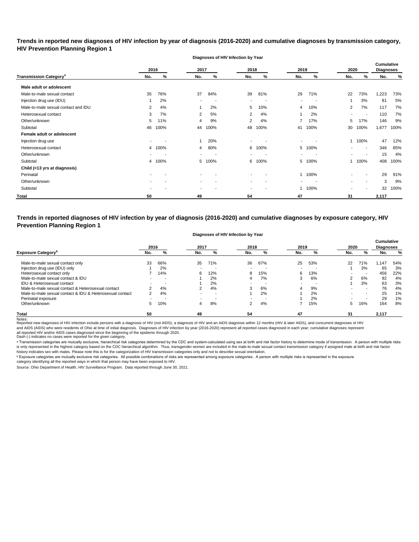**Trends in reported new diagnoses of HIV infection by year of diagnosis (2016-2020) and cumulative diagnoses by transmission category, HIV Prevention Planning Region 1**

**Diagnoses of HIV Infection by Year**

|                                          |        | 2016           | 2017      |          | 2018           |      | 2019                     |                          | 2020                     |                          | Cumulative<br><b>Diagnoses</b> |      |
|------------------------------------------|--------|----------------|-----------|----------|----------------|------|--------------------------|--------------------------|--------------------------|--------------------------|--------------------------------|------|
| <b>Transmission Category<sup>a</sup></b> | No.    | %              | No.       | %        | No.            | %    | No.                      | %                        | No.                      | %                        | No.                            | %    |
| Male adult or adolescent                 |        |                |           |          |                |      |                          |                          |                          |                          |                                |      |
| Male-to-male sexual contact              | 35     | 76%            | 37        | 84%      | 39             | 81%  | 29                       | 71%                      | 22                       | 73%                      | 1,223                          | 73%  |
| Injection drug use (IDU)                 |        | 2%             |           | <b>.</b> | $\blacksquare$ |      | $\overline{\phantom{a}}$ |                          | $\overline{\phantom{a}}$ | 3%                       | 81                             | 5%   |
| Male-to-male sexual contact and IDU      | 2      | 4%             |           | 2%       | 5              | 10%  | 4                        | 10%                      | $\overline{2}$           | 7%                       | 117                            | 7%   |
| Heterosexual contact                     | 3      | 7%             | 2         | 5%       | $\overline{2}$ | 4%   |                          | 2%                       | $\sim$                   | $\overline{\phantom{a}}$ | 110                            | 7%   |
| Other/unknown                            | 5      | 11%            | 4         | 9%       | 2              | 4%   |                          | 17%                      | 5                        | 17%                      | 146                            | 9%   |
| Subtotal                                 | 46     | 100%           | 44        | 100%     | 48             | 100% | 41                       | 100%                     | 30                       | 100%                     | 1,677                          | 100% |
| Female adult or adolescent               |        |                |           |          |                |      |                          |                          |                          |                          |                                |      |
| Injection drug use                       |        |                |           | 20%      | $\blacksquare$ |      |                          |                          |                          | 100%                     | 47                             | 12%  |
| Heterosexual contact                     |        | 4 100%         | 4         | 80%      | 6              | 100% | 5                        | 100%                     |                          | $\overline{\phantom{a}}$ | 346                            | 85%  |
| Other/unknown                            | $\sim$ | $\blacksquare$ | $\,$ $\,$ | <b>.</b> | $\blacksquare$ |      | $\,$                     | $\overline{\phantom{a}}$ |                          | $\overline{\phantom{a}}$ | 15                             | 4%   |
| Subtotal                                 |        | 4 100%         | 5         | 100%     | 6              | 100% | 5                        | 100%                     |                          | 100%                     | 408                            | 100% |
| Child (<13 yrs at diagnosis)             |        |                |           |          |                |      |                          |                          |                          |                          |                                |      |
| Perinatal                                |        |                |           |          |                |      |                          | 1 100%                   |                          |                          | 29                             | 91%  |
| Other/unknown                            |        |                |           |          | $\blacksquare$ |      | ۰                        |                          |                          | $\overline{\phantom{a}}$ | 3                              | 9%   |
| Subtotal                                 |        |                |           |          | $\blacksquare$ |      |                          | 100%                     |                          |                          | 32                             | 100% |
| <b>Total</b>                             | 50     |                | 49        |          | 54             |      | 47                       |                          | 31                       |                          | 2,117                          |      |

**Trends in reported diagnoses of HIV infection by year of diagnosis (2016-2020) and cumulative diagnoses by exposure category, HIV Prevention Planning Region 1**

#### **Diagnoses of HIV Infection by Year**

|                                                          | 2016   |     | 2017 |     | 2018                     |                          | 2019 |                          | 2020 |                          | <b>Cumulative</b><br><b>Diagnoses</b> |     |
|----------------------------------------------------------|--------|-----|------|-----|--------------------------|--------------------------|------|--------------------------|------|--------------------------|---------------------------------------|-----|
| <b>Exposure Category</b>                                 | No.    | %   | No.  | %   | No.                      | %                        | No.  | %                        | No.  | %                        | No.                                   | %   |
| Male-to-male sexual contact only                         | 33     | 66% | 35   | 71% | 36                       | 67%                      | 25   | 53%                      | 22   | 71%                      | .147                                  | 54% |
| Injection drug use (IDU) only                            |        | 2%  |      |     |                          |                          |      |                          |      | 3%                       | 65                                    | 3%  |
| Heterosexual contact only                                |        | 14% | 6    | 12% | 8                        | 15%                      | 6    | 13%                      | -    | $\overline{\phantom{0}}$ | 456                                   | 22% |
| Male-to-male sexual contact & IDU                        |        | . . |      | 2%  |                          | 7%                       | ົ    | 6%                       | າ    | 6%                       | 92                                    | 4%  |
| IDU & Heterosexual contact                               | $\sim$ | . . |      | 2%  |                          | $\overline{\phantom{0}}$ |      | $\overline{\phantom{0}}$ |      | 3%                       | 63                                    | 3%  |
| Male-to-male sexual contact & Heterosexual contact       | ົ      | 4%  | 2    | 4%  |                          | 6%                       | 4    | 9%                       |      |                          | 76                                    | 4%  |
| Male-to-male sexual contact & IDU & Heterosexual contact | 2      | 4%  |      |     |                          | 2%                       |      | 2%                       |      | $\overline{\phantom{0}}$ | 25                                    | 1%  |
| Perinatal exposure                                       | $\sim$ |     |      |     | $\overline{\phantom{0}}$ | $\overline{\phantom{a}}$ |      | 2%                       |      | . .                      | 29                                    | 1%  |
| Other/unknown                                            | 5      | 10% | 4    | 8%  |                          | 4%                       |      | 15%                      | 5.   | 16%                      | 164                                   | 8%  |
| <b>Total</b>                                             | 50     |     | 49   |     | 54                       |                          | 47   |                          | 31   |                          | 2,117                                 |     |

Notes:<br>Reported new diagnoses of HIV infection include persons with a diagnosis of HIV (not AIDS), a diagnosis of HIV and an AIDS diagnosis within 12 months (HIV & later AIDS), and concurrent diagnoses of HIV and AIDS (AIDS) who were residents of Ohio at time of initial diagnosis. Diagnoses of HIV infection by year (2016-2020) represent all reported cases diagnosed in each year; cumulative diagnoses represent

all reported HIV and/or AIDS cases diagnosed since the beginning of the epidemic through 2020.<br>Dash (-) indicates no cases were reported for the given category.

a Transmission categories are mutually exclusive, hierarchical risk categories determined by the CDC and system-calculated using sex at birth and risk factor history to determine mode of transmission. A person with multipl is only represented in the highest category based on the CDC hierarchical algorithm. Thus, transgender women are included in the male-to-male sexual contact transmission category if assigned male at birth and risk factor history indicates sex with males. Please note this is for the categorization of HIV transmission categories only and not to describe sexual orientation.

 $^{\rm b}$  Exposure categories are mutually exclusive risk categories. All possible combinations of risks are represented among exposure categories. A person with multiple risks is represented in the exposure

category identifying all the reported ways in which that person may have been exposed to HIV.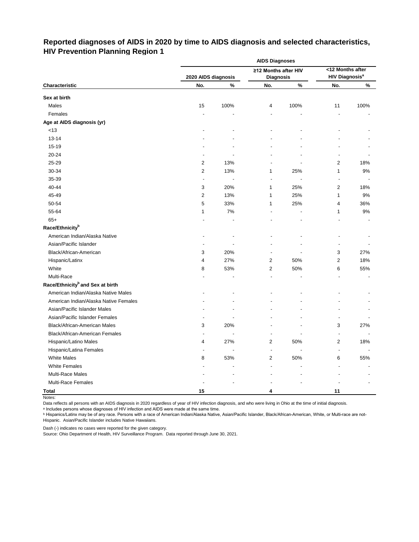# **Reported diagnoses of AIDS in 2020 by time to AIDS diagnosis and selected characteristics, HIV Prevention Planning Region 1**

|                                              | <b>AIDS Diagnoses</b><br><12 Months after |      |                                          |      |                                  |      |  |  |  |
|----------------------------------------------|-------------------------------------------|------|------------------------------------------|------|----------------------------------|------|--|--|--|
|                                              | 2020 AIDS diagnosis                       |      | ≥12 Months after HIV<br><b>Diagnosis</b> |      | <b>HIV Diagnosis<sup>a</sup></b> |      |  |  |  |
| Characteristic                               | No.                                       | %    | No.                                      | $\%$ | No.                              | %    |  |  |  |
| Sex at birth                                 |                                           |      |                                          |      |                                  |      |  |  |  |
| Males                                        | 15                                        | 100% | 4                                        | 100% | 11                               | 100% |  |  |  |
| Females                                      | $\overline{a}$                            |      | $\overline{a}$                           | ä,   | ä,                               |      |  |  |  |
| Age at AIDS diagnosis (yr)                   |                                           |      |                                          |      |                                  |      |  |  |  |
| $<13$                                        |                                           |      |                                          |      |                                  |      |  |  |  |
| $13 - 14$                                    |                                           |      |                                          |      |                                  |      |  |  |  |
| 15-19                                        |                                           |      |                                          |      |                                  |      |  |  |  |
| 20-24                                        |                                           |      |                                          |      |                                  |      |  |  |  |
| 25-29                                        | $\overline{c}$                            | 13%  |                                          |      | 2                                | 18%  |  |  |  |
| 30-34                                        | $\overline{2}$                            | 13%  | 1                                        | 25%  | 1                                | $9%$ |  |  |  |
| 35-39                                        | $\overline{a}$                            |      |                                          |      |                                  |      |  |  |  |
| 40-44                                        | 3                                         | 20%  | 1                                        | 25%  | 2                                | 18%  |  |  |  |
| 45-49                                        | $\overline{2}$                            | 13%  | 1                                        | 25%  | 1                                | 9%   |  |  |  |
| 50-54                                        | 5                                         | 33%  | 1                                        | 25%  | 4                                | 36%  |  |  |  |
| 55-64                                        | 1                                         | 7%   |                                          |      | 1                                | $9%$ |  |  |  |
| $65+$                                        |                                           |      |                                          |      |                                  |      |  |  |  |
| Race/Ethnicity <sup>b</sup>                  |                                           |      |                                          |      |                                  |      |  |  |  |
| American Indian/Alaska Native                |                                           |      |                                          |      |                                  |      |  |  |  |
| Asian/Pacific Islander                       |                                           |      |                                          |      |                                  |      |  |  |  |
| Black/African-American                       | 3                                         | 20%  |                                          |      | 3                                | 27%  |  |  |  |
| Hispanic/Latinx                              | 4                                         | 27%  | 2                                        | 50%  | $\overline{2}$                   | 18%  |  |  |  |
| White                                        | 8                                         | 53%  | 2                                        | 50%  | 6                                | 55%  |  |  |  |
| Multi-Race                                   |                                           |      |                                          |      |                                  |      |  |  |  |
| Race/Ethnicity <sup>b</sup> and Sex at birth |                                           |      |                                          |      |                                  |      |  |  |  |
| American Indian/Alaska Native Males          |                                           |      |                                          |      |                                  |      |  |  |  |
| American Indian/Alaska Native Females        |                                           |      |                                          |      |                                  |      |  |  |  |
| Asian/Pacific Islander Males                 |                                           |      |                                          |      |                                  |      |  |  |  |
| Asian/Pacific Islander Females               |                                           |      |                                          |      |                                  |      |  |  |  |
| <b>Black/African-American Males</b>          | 3                                         | 20%  |                                          |      | 3                                | 27%  |  |  |  |
| Black/African-American Females               |                                           |      |                                          |      |                                  |      |  |  |  |
| Hispanic/Latino Males                        | 4                                         | 27%  | 2                                        | 50%  | $\sqrt{2}$                       | 18%  |  |  |  |
| Hispanic/Latina Females                      | $\overline{\phantom{a}}$                  |      | $\blacksquare$                           |      |                                  |      |  |  |  |
| <b>White Males</b>                           | 8                                         | 53%  | 2                                        | 50%  | 6                                | 55%  |  |  |  |
| <b>White Females</b>                         |                                           |      | L,                                       |      |                                  |      |  |  |  |
| Multi-Race Males                             |                                           |      |                                          |      |                                  |      |  |  |  |
| Multi-Race Females                           |                                           |      |                                          |      |                                  |      |  |  |  |
| <b>Total</b>                                 | 15                                        |      | 4                                        |      | 11                               |      |  |  |  |

Notes:

Data reflects all persons with an AIDS diagnosis in 2020 regardless of year of HIV infection diagnosis, and who were living in Ohio at the time of initial diagnosis.

ᵃ Includes persons whose diagnoses of HIV infection and AIDS were made at the same time.

<u>b Hispanics/Latinx may be of any race. Persons with a race of American Indian/Alaska Native, Asian/Pacific Islander, Black/African-American, White, or Multi-race are not-</u> Hispanic. Asian/Pacific Islander includes Native Hawaiians.

Dash (-) indicates no cases were reported for the given category.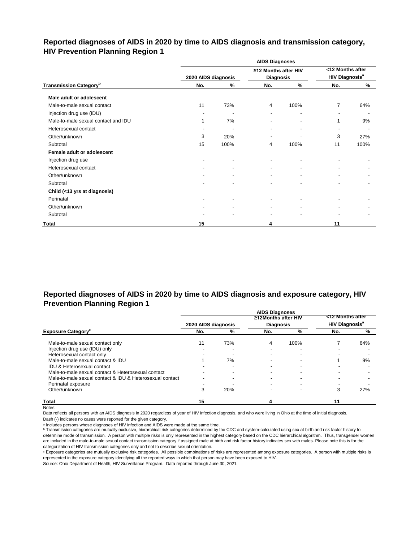# **Reported diagnoses of AIDS in 2020 by time to AIDS diagnosis and transmission category, HIV Prevention Planning Region 1**

|                                           |                     |                          | <b>AIDS Diagnoses</b>                    |      |                                                      |      |
|-------------------------------------------|---------------------|--------------------------|------------------------------------------|------|------------------------------------------------------|------|
|                                           | 2020 AIDS diagnosis |                          | ≥12 Months after HIV<br><b>Diagnosis</b> |      | <12 Months after<br><b>HIV Diagnosis<sup>a</sup></b> |      |
| <b>Transmission Category</b> <sup>b</sup> | No.                 | $\frac{9}{6}$            | No.                                      | $\%$ | No.                                                  | %    |
| Male adult or adolescent                  |                     |                          |                                          |      |                                                      |      |
| Male-to-male sexual contact               | 11                  | 73%                      | 4                                        | 100% | $\overline{7}$                                       | 64%  |
| Injection drug use (IDU)                  |                     | $\overline{\phantom{a}}$ | $\blacksquare$                           |      | $\overline{\phantom{a}}$                             |      |
| Male-to-male sexual contact and IDU       |                     | 7%                       |                                          |      | 1                                                    | 9%   |
| Heterosexual contact                      |                     |                          |                                          |      | $\overline{\phantom{a}}$                             |      |
| Other/unknown                             | 3                   | 20%                      | $\blacksquare$                           |      | 3                                                    | 27%  |
| Subtotal                                  | 15                  | 100%                     | 4                                        | 100% | 11                                                   | 100% |
| Female adult or adolescent                |                     |                          |                                          |      |                                                      |      |
| Injection drug use                        |                     |                          |                                          |      |                                                      |      |
| Heterosexual contact                      |                     | $\blacksquare$           | ٠                                        |      |                                                      |      |
| Other/unknown                             |                     |                          | $\blacksquare$                           |      |                                                      |      |
| Subtotal                                  |                     |                          |                                          |      |                                                      |      |
| Child (<13 yrs at diagnosis)              |                     |                          |                                          |      |                                                      |      |
| Perinatal                                 |                     | $\blacksquare$           | $\blacksquare$                           |      |                                                      |      |
| Other/unknown                             |                     |                          |                                          |      |                                                      |      |
| Subtotal                                  |                     |                          |                                          |      |                                                      |      |
| Total                                     | 15                  |                          | 4                                        |      | 11                                                   |      |

# **Reported diagnoses of AIDS in 2020 by time to AIDS diagnosis and exposure category, HIV Prevention Planning Region 1**

|                                                          |                     |     | <b>AIDS Diagnoses</b> |      |                                  |     |
|----------------------------------------------------------|---------------------|-----|-----------------------|------|----------------------------------|-----|
|                                                          |                     |     | ≥12Months after HIV   |      | <12 Months after                 |     |
|                                                          | 2020 AIDS diagnosis |     | <b>Diagnosis</b>      |      | <b>HIV Diagnosis<sup>a</sup></b> |     |
| <b>Exposure Category</b>                                 | No.                 | %   | No.                   | %    | No.                              | %   |
| Male-to-male sexual contact only                         | 11                  | 73% | 4                     | 100% |                                  | 64% |
| Injection drug use (IDU) only                            |                     |     |                       |      |                                  |     |
| Heterosexual contact only                                |                     |     |                       |      |                                  |     |
| Male-to-male sexual contact & IDU                        |                     | 7%  |                       |      |                                  | 9%  |
| <b>IDU &amp; Heterosexual contact</b>                    |                     |     |                       |      |                                  |     |
| Male-to-male sexual contact & Heterosexual contact       |                     |     |                       |      |                                  |     |
| Male-to-male sexual contact & IDU & Heterosexual contact |                     |     |                       |      |                                  |     |
| Perinatal exposure                                       |                     |     |                       |      |                                  |     |
| Other/unknown                                            |                     | 20% |                       |      | 3                                | 27% |
| <b>Total</b>                                             | 15                  |     |                       |      | 11                               |     |

Notes:

Data reflects all persons with an AIDS diagnosis in 2020 regardless of year of HIV infection diagnosis, and who were living in Ohio at the time of initial diagnosis.

Dash (-) indicates no cases were reported for the given category.

a Includes persons whose diagnoses of HIV infection and AIDS were made at the same time.

**b** Transmission categories are mutually exclusive, hierarchical risk categories determined by the CDC and system-calculated using sex at birth and risk factor history to determine mode of transmission. A person with multiple risks is only represented in the highest category based on the CDC hierarchical algorithm. Thus, transgender women are included in the male-to-male sexual contact transmission category if assigned male at birth and risk factor history indicates sex with males. Please note this is for the categorization of HIV transmission categories only and not to describe sexual orientation.

ᶜ Exposure categories are mutually exclusive risk categories. All possible combinations of risks are represented among exposure categories. A person with multiple risks is represented in the exposure category identifying all the reported ways in which that person may have been exposed to HIV.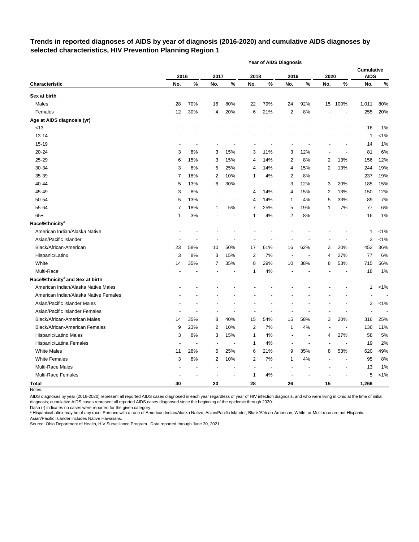## **Trends in reported diagnoses of AIDS by year of diagnosis (2016-2020) and cumulative AIDS diagnoses by selected characteristics, HIV Prevention Planning Region 1**

|                                              |      |      |                          |                          |                | <b>Year of AIDS Diagnosis</b> |                          |      |      |                |                                  |         |
|----------------------------------------------|------|------|--------------------------|--------------------------|----------------|-------------------------------|--------------------------|------|------|----------------|----------------------------------|---------|
|                                              | 2016 |      | 2017                     |                          | 2018           |                               | 2019                     |      | 2020 |                | <b>Cumulative</b><br><b>AIDS</b> |         |
| Characteristic                               | No.  | $\%$ | No.                      | $\%$                     | No.            | $\%$                          | No.                      | $\%$ | No.  | $\%$           | No.                              | $\%$    |
| Sex at birth                                 |      |      |                          |                          |                |                               |                          |      |      |                |                                  |         |
| Males                                        | 28   | 70%  | 16                       | 80%                      | 22             | 79%                           | 24                       | 92%  | 15   | 100%           | 1,011                            | 80%     |
| Females                                      | 12   | 30%  | 4                        | 20%                      | 6              | 21%                           | 2                        | 8%   |      |                | 255                              | 20%     |
| Age at AIDS diagnosis (yr)                   |      |      |                          |                          |                |                               |                          |      |      |                |                                  |         |
| <13                                          |      |      |                          |                          |                |                               |                          |      |      |                | 16                               | 1%      |
| 13-14                                        |      |      |                          |                          |                |                               |                          |      |      |                | 1                                | $< 1\%$ |
| 15-19                                        |      |      |                          |                          |                |                               |                          |      |      |                | 14                               | 1%      |
| 20-24                                        | 3    | 8%   | 3                        | 15%                      | 3              | 11%                           | 3                        | 12%  |      |                | 81                               | 6%      |
| 25-29                                        | 6    | 15%  | 3                        | 15%                      | 4              | 14%                           | 2                        | 8%   | 2    | 13%            | 156                              | 12%     |
| 30-34                                        | 3    | 8%   | 5                        | 25%                      | 4              | 14%                           | 4                        | 15%  | 2    | 13%            | 244                              | 19%     |
| 35-39                                        | 7    | 18%  | 2                        | 10%                      | 1              | 4%                            | 2                        | 8%   | ÷    |                | 237                              | 19%     |
| 40-44                                        | 5    | 13%  | 6                        | 30%                      | Ĭ.             | ÷,                            | 3                        | 12%  | 3    | 20%            | 185                              | 15%     |
| 45-49                                        | 3    | 8%   |                          | $\overline{\phantom{a}}$ | 4              | 14%                           | 4                        | 15%  | 2    | 13%            | 150                              | 12%     |
| 50-54                                        | 5    | 13%  |                          | $\overline{\phantom{a}}$ | 4              | 14%                           | 1                        | 4%   | 5    | 33%            | 89                               | 7%      |
| 55-64                                        | 7    | 18%  | 1                        | 5%                       | $\overline{7}$ | 25%                           | 5                        | 19%  | 1    | 7%             | 77                               | 6%      |
| $65+$                                        | 1    | 3%   |                          | $\overline{\phantom{a}}$ | 1              | 4%                            | 2                        | 8%   |      |                | 16                               | 1%      |
| Race/Ethnicity <sup>a</sup>                  |      |      |                          |                          |                |                               |                          |      |      |                |                                  |         |
| American Indian/Alaska Native                |      |      |                          |                          |                |                               |                          |      |      |                | 1                                | $< 1\%$ |
| Asian/Pacific Islander                       |      |      |                          |                          |                |                               |                          |      |      |                | 3                                | $< 1\%$ |
| Black/African-American                       | 23   | 58%  | 10                       | 50%                      | 17             | 61%                           | 16                       | 62%  | 3    | 20%            | 452                              | 36%     |
| Hispanic/Latinx                              | 3    | 8%   | 3                        | 15%                      | 2              | 7%                            | $\overline{\phantom{a}}$ |      | 4    | 27%            | 77                               | 6%      |
| White                                        | 14   | 35%  | 7                        | 35%                      | 8              | 29%                           | 10                       | 38%  | 8    | 53%            | 715                              | 56%     |
| Multi-Race                                   |      |      |                          |                          | 1              | 4%                            |                          |      |      |                | 18                               | 1%      |
| Race/Ethnicity <sup>a</sup> and Sex at birth |      |      |                          |                          |                |                               |                          |      |      |                |                                  |         |
| American Indian/Alaska Native Males          |      |      |                          |                          |                |                               |                          |      |      |                | 1                                | $< 1\%$ |
| American Indian/Alaska Native Females        |      |      |                          |                          |                |                               |                          |      |      |                |                                  |         |
| Asian/Pacific Islander Males                 |      |      |                          |                          |                |                               |                          |      |      |                | 3                                | $< 1\%$ |
| Asian/Pacific Islander Females               |      |      |                          |                          |                |                               |                          |      |      |                |                                  |         |
| <b>Black/African-American Males</b>          | 14   | 35%  | 8                        | 40%                      | 15             | 54%                           | 15                       | 58%  | 3    | 20%            | 316                              | 25%     |
| <b>Black/African-American Females</b>        | 9    | 23%  | 2                        | 10%                      | 2              | 7%                            | 1                        | 4%   |      | $\blacksquare$ | 136                              | 11%     |
| Hispanic/Latino Males                        | 3    | 8%   | 3                        | 15%                      |                | 4%                            |                          |      | 4    | 27%            | 58                               | 5%      |
| Hispanic/Latina Females                      |      |      | $\overline{\phantom{a}}$ |                          | 1              | $4\%$                         |                          |      |      |                | 19                               | 2%      |
| <b>White Males</b>                           | 11   | 28%  | 5                        | 25%                      | 6              | 21%                           | 9                        | 35%  | 8    | 53%            | 620                              | 49%     |
| <b>White Females</b>                         | 3    | 8%   | $\overline{c}$           | 10%                      | 2              | 7%                            | 1                        | 4%   |      | $\blacksquare$ | 95                               | 8%      |
| Multi-Race Males                             |      |      |                          |                          |                | $\overline{a}$                |                          |      |      |                | 13                               | 1%      |
| Multi-Race Females                           |      |      |                          |                          | 1              | $4\%$                         |                          |      |      |                | 5                                | $< 1\%$ |
| <b>Total</b>                                 | 40   |      | 20                       |                          | 28             |                               | 26                       |      | 15   |                | 1,266                            |         |

Notes:

AIDS diagnoses by year (2016-2020) represent all reported AIDS cases diagnosed in each year regardless of year of HIV infection diagnosis, and who were living in Ohio at the time of initial diagnosis; cumulative AIDS cases represent all reported AIDS cases diagnosed since the beginning of the epidemic through 2020.

Dash (-) indicates no cases were reported for the given category.

a Hispanics/Latinx may be of any race. Persons with a race of American Indian/Alaska Native, Asian/Pacific Islander, Black/African-American, White, or Multi-race are not-Hispanic. Asian/Pacific Islander includes Native Hawaiians.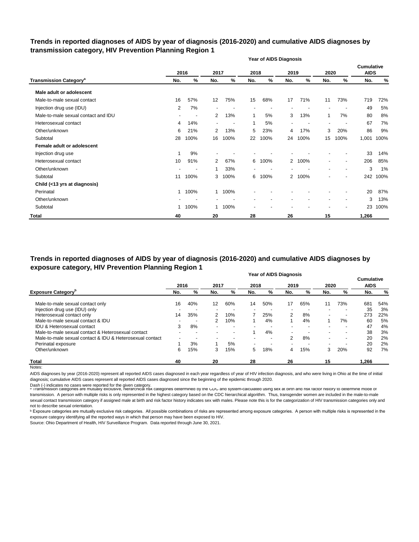## **Trends in reported diagnoses of AIDS by year of diagnosis (2016-2020) and cumulative AIDS diagnoses by transmission category, HIV Prevention Planning Region 1**

|                                          |     | <b>Year of AIDS Diagnosis</b> |                |      |      |      |                          |      |                          |                          |                                  |      |
|------------------------------------------|-----|-------------------------------|----------------|------|------|------|--------------------------|------|--------------------------|--------------------------|----------------------------------|------|
|                                          |     | 2016                          | 2017           |      | 2018 |      | 2019                     |      | 2020                     |                          | <b>Cumulative</b><br><b>AIDS</b> |      |
| <b>Transmission Category<sup>a</sup></b> | No. | %                             | No.            | $\%$ | No.  | %    | No.                      | %    | No.                      | %                        | No.                              | %    |
| Male adult or adolescent                 |     |                               |                |      |      |      |                          |      |                          |                          |                                  |      |
| Male-to-male sexual contact              | 16  | 57%                           | 12             | 75%  | 15   | 68%  | 17                       | 71%  | 11                       | 73%                      | 719                              | 72%  |
| Injection drug use (IDU)                 | 2   | 7%                            |                |      |      |      |                          |      |                          |                          | 49                               | 5%   |
| Male-to-male sexual contact and IDU      |     | $\overline{\phantom{a}}$      | 2              | 13%  | 1    | 5%   | 3                        | 13%  | 1                        | 7%                       | 80                               | 8%   |
| Heterosexual contact                     | 4   | 14%                           | $\blacksquare$ |      | 1    | 5%   | $\overline{\phantom{a}}$ |      | $\overline{\phantom{a}}$ |                          | 67                               | 7%   |
| Other/unknown                            | 6   | 21%                           | $\overline{2}$ | 13%  | 5    | 23%  | 4                        | 17%  | 3                        | 20%                      | 86                               | 9%   |
| Subtotal                                 | 28  | 100%                          | 16             | 100% | 22   | 100% | 24                       | 100% | 15                       | 100%                     | 1,001                            | 100% |
| Female adult or adolescent               |     |                               |                |      |      |      |                          |      |                          |                          |                                  |      |
| Injection drug use                       | 1   | 9%                            |                |      |      |      |                          |      |                          |                          | 33                               | 14%  |
| Heterosexual contact                     | 10  | 91%                           | 2              | 67%  | 6    | 100% | $\overline{2}$           | 100% | $\blacksquare$           | $\overline{\phantom{a}}$ | 206                              | 85%  |
| Other/unknown                            |     |                               |                | 33%  |      |      |                          |      | $\blacksquare$           | $\blacksquare$           | 3                                | 1%   |
| Subtotal                                 | 11  | 100%                          | 3              | 100% | 6    | 100% | $\overline{2}$           | 100% | $\overline{\phantom{a}}$ | $\overline{\phantom{a}}$ | 242                              | 100% |
| Child (<13 yrs at diagnosis)             |     |                               |                |      |      |      |                          |      |                          |                          |                                  |      |
| Perinatal                                | 1   | 100%                          | $\mathbf{1}$   | 100% |      |      |                          |      |                          |                          | 20                               | 87%  |
| Other/unknown                            |     |                               |                |      |      |      |                          |      |                          |                          | 3                                | 13%  |
| Subtotal                                 | 1.  | 100%                          |                | 100% |      |      |                          |      |                          |                          | 23                               | 100% |
| <b>Total</b>                             | 40  |                               | 20             |      | 28   |      | 26                       |      | 15                       |                          | 1,266                            |      |

#### **Year of AIDS Diagnosis Trends in reported diagnoses of AIDS by year of diagnosis (2016-2020) and cumulative AIDS diagnoses by exposure category, HIV Prevention Planning Region 1**

|                                                          |      |     |                   |                          |      | <b>I cal UI AIDO DIAYIIUSIS</b> |                          |     |                          |     | <b>Cumulative</b> |     |
|----------------------------------------------------------|------|-----|-------------------|--------------------------|------|---------------------------------|--------------------------|-----|--------------------------|-----|-------------------|-----|
|                                                          | 2016 |     | 2017              |                          | 2018 |                                 | 2019                     |     | 2020                     |     | <b>AIDS</b>       |     |
| <b>Exposure Category</b> <sup>b</sup>                    | No.  | %   | No.               | %                        | No.  | %                               | No.                      | %   | No.                      | %   | No.               | %   |
| Male-to-male sexual contact only                         | 16   | 40% | $12 \overline{ }$ | 60%                      | 14   | 50%                             | 17                       | 65% | 11                       | 73% | 681               | 54% |
| Injection drug use (IDU) only                            |      |     |                   |                          |      |                                 |                          |     |                          |     | 35                | 3%  |
| Heterosexual contact only                                | 14   | 35% | 2                 | 10%                      |      | 25%                             | $\overline{2}$           | 8%  | $\overline{\phantom{a}}$ |     | 273               | 22% |
| Male-to-male sexual contact & IDU                        |      |     | 2                 | 10%                      |      | 4%                              |                          | 4%  |                          | 7%  | 60                | 5%  |
| <b>IDU &amp; Heterosexual contact</b>                    | 3    | 8%  |                   | $\overline{\phantom{a}}$ |      |                                 | $\overline{\phantom{a}}$ |     | $\overline{\phantom{a}}$ |     | 47                | 4%  |
| Male-to-male sexual contact & Heterosexual contact       |      |     |                   | $\overline{\phantom{a}}$ |      | 4%                              | $\overline{\phantom{0}}$ |     | $\overline{\phantom{0}}$ |     | 38                | 3%  |
| Male-to-male sexual contact & IDU & Heterosexual contact |      |     |                   |                          |      | $\overline{\phantom{a}}$        | 2                        | 8%  | $\overline{\phantom{a}}$ |     | 20                | 2%  |
| Perinatal exposure                                       |      | 3%  |                   | 5%                       |      |                                 |                          |     | $\overline{\phantom{0}}$ |     | 20                | 2%  |
| Other/unknown                                            | 6    | 15% | 3                 | 15%                      | 5    | 18%                             | 4                        | 15% | 3                        | 20% | 92                | 7%  |
| <b>Total</b>                                             | 40   |     | 20                |                          | 28   |                                 | 26                       |     | 15                       |     | 1,266             |     |
| Notes:                                                   |      |     |                   |                          |      |                                 |                          |     |                          |     |                   |     |

AIDS diagnoses by year (2016-2020) represent all reported AIDS cases diagnosed in each year regardless of year of HIV infection diagnosis, and who were living in Ohio at the time of initial diagnosis; cumulative AIDS cases represent all reported AIDS cases diagnosed since the beginning of the epidemic through 2020.

Dash (-) indicates no cases were reported for the given category.<br>◎ Transmission categories are mutually exclusive, nierarcnical risk categories determined by the CDC and system-calculated using sex at birth and risk ract transmission. A person with multiple risks is only represented in the highest category based on the CDC hierarchical algorithm. Thus, transgender women are included in the male-to-male sexual contact transmission category if assigned male at birth and risk factor history indicates sex with males. Please note this is for the categorization of HIV transmission categories only and not to describe sexual orientation.

**b** Exposure categories are mutually exclusive risk categories. All possible combinations of risks are represented among exposure categories. A person with multiple risks is represented in the exposure category identifying all the reported ways in which that person may have been exposed to HIV.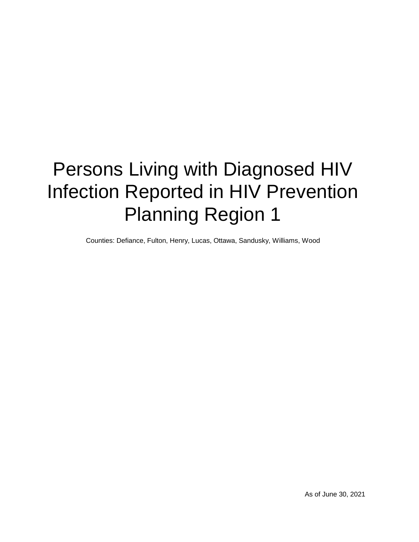# Persons Living with Diagnosed HIV Infection Reported in HIV Prevention Planning Region 1

Counties: Defiance, Fulton, Henry, Lucas, Ottawa, Sandusky, Williams, Wood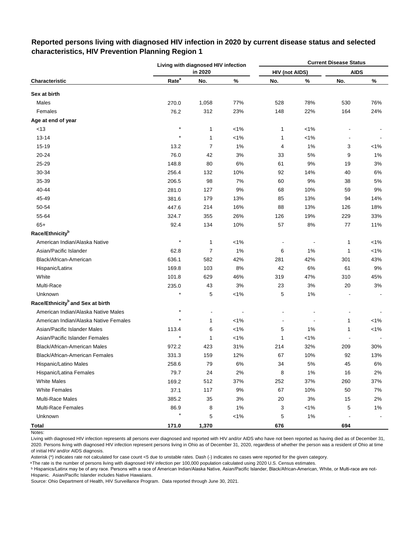|                                              |                   | Living with diagnosed HIV infection |         |                       |                          | <b>Current Disease Status</b> |         |
|----------------------------------------------|-------------------|-------------------------------------|---------|-----------------------|--------------------------|-------------------------------|---------|
|                                              |                   | in 2020                             |         | <b>HIV (not AIDS)</b> |                          | <b>AIDS</b>                   |         |
| Characteristic                               | Rate <sup>a</sup> | No.                                 | %       | No.                   | $\%$                     | No.                           | $\%$    |
| Sex at birth                                 |                   |                                     |         |                       |                          |                               |         |
| Males                                        | 270.0             | 1,058                               | 77%     | 528                   | 78%                      | 530                           | 76%     |
| Females                                      | 76.2              | 312                                 | 23%     | 148                   | 22%                      | 164                           | 24%     |
| Age at end of year                           |                   |                                     |         |                       |                          |                               |         |
| <13                                          | $\star$           | 1                                   | $< 1\%$ | 1                     | $< 1\%$                  |                               |         |
| $13 - 14$                                    | $^\star$          | 1                                   | $< 1\%$ | 1                     | $< 1\%$                  |                               |         |
| 15-19                                        | 13.2              | $\overline{7}$                      | 1%      | 4                     | 1%                       | 3                             | $< 1\%$ |
| 20-24                                        | 76.0              | 42                                  | 3%      | 33                    | $5%$                     | 9                             | 1%      |
| 25-29                                        | 148.8             | 80                                  | 6%      | 61                    | 9%                       | 19                            | 3%      |
| 30-34                                        | 256.4             | 132                                 | 10%     | 92                    | 14%                      | 40                            | 6%      |
| 35-39                                        | 206.5             | 98                                  | 7%      | 60                    | 9%                       | 38                            | 5%      |
| 40-44                                        | 281.0             | 127                                 | 9%      | 68                    | 10%                      | 59                            | 9%      |
| 45-49                                        | 381.6             | 179                                 | 13%     | 85                    | 13%                      | 94                            | 14%     |
| 50-54                                        | 447.6             | 214                                 | 16%     | 88                    | 13%                      | 126                           | 18%     |
| 55-64                                        | 324.7             | 355                                 | 26%     | 126                   | 19%                      | 229                           | 33%     |
| $65+$                                        | 92.4              | 134                                 | 10%     | 57                    | 8%                       | 77                            | 11%     |
| Race/Ethnicity <sup>b</sup>                  |                   |                                     |         |                       |                          |                               |         |
| American Indian/Alaska Native                | $\star$           | 1                                   | $< 1\%$ |                       |                          | 1                             | $< 1\%$ |
| Asian/Pacific Islander                       | 62.8              | $\overline{7}$                      | 1%      | 6                     | 1%                       | 1                             | $< 1\%$ |
| Black/African-American                       | 636.1             | 582                                 | 42%     | 281                   | 42%                      | 301                           | 43%     |
| Hispanic/Latinx                              | 169.8             | 103                                 | 8%      | 42                    | 6%                       | 61                            | 9%      |
| White                                        | 101.8             | 629                                 | 46%     | 319                   | 47%                      | 310                           | 45%     |
| Multi-Race                                   | 235.0             | 43                                  | 3%      | 23                    | 3%                       | 20                            | $3%$    |
| Unknown                                      |                   | 5                                   | $< 1\%$ | 5                     | 1%                       |                               |         |
| Race/Ethnicity <sup>b</sup> and Sex at birth |                   |                                     |         |                       |                          |                               |         |
| American Indian/Alaska Native Males          | $\star$           |                                     |         |                       |                          |                               |         |
| American Indian/Alaska Native Females        | $\star$           | 1                                   | $< 1\%$ |                       | $\overline{\phantom{a}}$ | 1                             | $< 1\%$ |
| Asian/Pacific Islander Males                 | 113.4             | 6                                   | $< 1\%$ | 5                     | 1%                       | 1                             | $< 1\%$ |
| Asian/Pacific Islander Females               |                   | 1                                   | $< 1\%$ | 1                     | $< 1\%$                  |                               |         |
| <b>Black/African-American Males</b>          | 972.2             | 423                                 | 31%     | 214                   | 32%                      | 209                           | 30%     |
| Black/African-American Females               | 331.3             | 159                                 | 12%     | 67                    | 10%                      | 92                            | 13%     |
| Hispanic/Latino Males                        | 258.6             | 79                                  | 6%      | 34                    | $5\%$                    | 45                            | $6\%$   |
| Hispanic/Latina Females                      | 79.7              | 24                                  | 2%      | 8                     | 1%                       | 16                            | 2%      |
| <b>White Males</b>                           | 169.2             | 512                                 | 37%     | 252                   | 37%                      | 260                           | 37%     |
| White Females                                | 37.1              | 117                                 | 9%      | 67                    | 10%                      | 50                            | 7%      |
| Multi-Race Males                             | 385.2             | 35                                  | 3%      | $20\,$                | 3%                       | 15                            | 2%      |
| Multi-Race Females                           | 86.9              | 8                                   | $1\%$   | 3                     | $< 1\%$                  | 5                             | $1\%$   |
| Unknown                                      |                   | 5                                   | $1\%$   | 5                     | 1%                       |                               |         |
| <b>Total</b>                                 | 171.0             | 1,370                               |         | 676                   |                          | 694                           |         |

# **Reported persons living with diagnosed HIV infection in 2020 by current disease status and selected characteristics, HIV Prevention Planning Region 1**

Living with diagnosed HIV infection represents all persons ever diagnosed and reported with HIV and/or AIDS who have not been reported as having died as of December 31, 2020. Persons living with diagnosed HIV infection represent persons living in Ohio as of December 31, 2020, regardless of whether the person was a resident of Ohio at time of initial HIV and/or AIDS diagnosis.

Asterisk (\*) indicates rate not calculated for case count <5 due to unstable rates. Dash (-) indicates no cases were reported for the given category.

a The rate is the number of persons living with diagnosed HIV infection per 100,000 population calculated using 2020 U.S. Census estimates.

ᵇ Hispanics/Latinx may be of any race. Persons with a race of American Indian/Alaska Native, Asian/Pacific Islander, Black/African-American, White, or Multi-race are not-Hispanic. Asian/Pacific Islander includes Native Hawaiians.

Notes: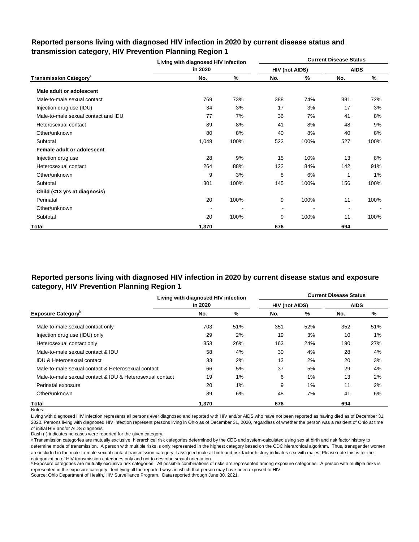|                                          | Living with diagnosed HIV infection |      |                |      | <b>Current Disease Status</b> |       |
|------------------------------------------|-------------------------------------|------|----------------|------|-------------------------------|-------|
|                                          | in 2020                             |      | HIV (not AIDS) |      | <b>AIDS</b>                   |       |
| <b>Transmission Category<sup>a</sup></b> | No.                                 | ℅    | No.            | %    | No.                           | %     |
| Male adult or adolescent                 |                                     |      |                |      |                               |       |
| Male-to-male sexual contact              | 769                                 | 73%  | 388            | 74%  | 381                           | 72%   |
| Injection drug use (IDU)                 | 34                                  | 3%   | 17             | 3%   | 17                            | 3%    |
| Male-to-male sexual contact and IDU      | 77                                  | 7%   | 36             | 7%   | 41                            | 8%    |
| Heterosexual contact                     | 89                                  | 8%   | 41             | 8%   | 48                            | 9%    |
| Other/unknown                            | 80                                  | 8%   | 40             | 8%   | 40                            | 8%    |
| Subtotal                                 | 1,049                               | 100% | 522            | 100% | 527                           | 100%  |
| Female adult or adolescent               |                                     |      |                |      |                               |       |
| Injection drug use                       | 28                                  | 9%   | 15             | 10%  | 13                            | 8%    |
| Heterosexual contact                     | 264                                 | 88%  | 122            | 84%  | 142                           | 91%   |
| Other/unknown                            | 9                                   | 3%   | 8              | 6%   |                               | $1\%$ |
| Subtotal                                 | 301                                 | 100% | 145            | 100% | 156                           | 100%  |
| Child (<13 yrs at diagnosis)             |                                     |      |                |      |                               |       |
| Perinatal                                | 20                                  | 100% | 9              | 100% | 11                            | 100%  |
| Other/unknown                            |                                     |      | $\blacksquare$ |      |                               |       |
| Subtotal                                 | 20                                  | 100% | 9              | 100% | 11                            | 100%  |
| Total                                    | 1,370                               |      | 676            |      | 694                           |       |

## **Reported persons living with diagnosed HIV infection in 2020 by current disease status and transmission category, HIV Prevention Planning Region 1**

# **Reported persons living with diagnosed HIV infection in 2020 by current disease status and exposure category, HIV Prevention Planning Region 1**

|                                                          | Living with diagnosed HIV infection |     |                       |     | <b>Current Disease Status</b> |       |
|----------------------------------------------------------|-------------------------------------|-----|-----------------------|-----|-------------------------------|-------|
|                                                          | in 2020                             |     | <b>HIV (not AIDS)</b> |     | <b>AIDS</b>                   |       |
| <b>Exposure Category</b> <sup>b</sup>                    | No.                                 | %   | No.                   | %   | No.                           | %     |
| Male-to-male sexual contact only                         | 703                                 | 51% | 351                   | 52% | 352                           | 51%   |
| Injection drug use (IDU) only                            | 29                                  | 2%  | 19                    | 3%  | 10                            | $1\%$ |
| Heterosexual contact only                                | 353                                 | 26% | 163                   | 24% | 190                           | 27%   |
| Male-to-male sexual contact & IDU                        | 58                                  | 4%  | 30                    | 4%  | 28                            | 4%    |
| <b>IDU &amp; Heterosexual contact</b>                    | 33                                  | 2%  | 13                    | 2%  | 20                            | 3%    |
| Male-to-male sexual contact & Heterosexual contact       | 66                                  | 5%  | 37                    | 5%  | 29                            | 4%    |
| Male-to-male sexual contact & IDU & Heterosexual contact | 19                                  | 1%  | 6                     | 1%  | 13                            | 2%    |
| Perinatal exposure                                       | 20                                  | 1%  | 9                     | 1%  | 11                            | 2%    |
| Other/unknown                                            | 89                                  | 6%  | 48                    | 7%  | 41                            | 6%    |
| Total                                                    | 1.370                               |     | 676                   |     | 694                           |       |

Notes:

Living with diagnosed HIV infection represents all persons ever diagnosed and reported with HIV and/or AIDS who have not been reported as having died as of December 31, 2020. Persons living with diagnosed HIV infection represent persons living in Ohio as of December 31, 2020, regardless of whether the person was a resident of Ohio at time of initial HIV and/or AIDS diagnosis.

Dash (-) indicates no cases were reported for the given category.

a Transmission categories are mutually exclusive, hierarchical risk categories determined by the CDC and system-calculated using sex at birth and risk factor history to determine mode of transmission. A person with multiple risks is only represented in the highest category based on the CDC hierarchical algorithm. Thus, transgender women are included in the male-to-male sexual contact transmission category if assigned male at birth and risk factor history indicates sex with males. Please note this is for the categorization of HIV transmission categories only and not to describe sexual orientation.

**b** Exposure categories are mutually exclusive risk categories. All possible combinations of risks are represented among exposure categories. A person with multiple risks is represented in the exposure category identifying all the reported ways in which that person may have been exposed to HIV.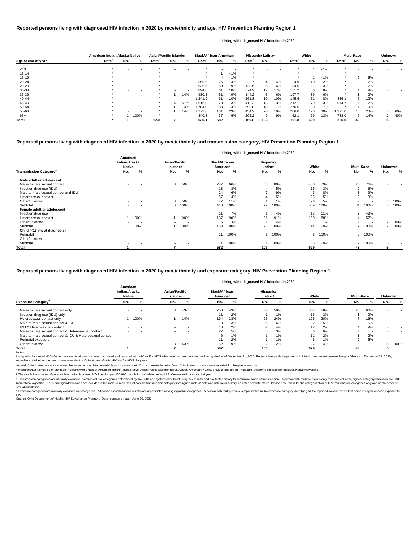|                    | American Indian/Alaska Native |     |      | <b>Asian/Pacific Islander</b> |     |                          | <b>Black/African-American</b> |     |         |                   | Hispanic/Latinx <sup>a</sup> |     |                   | White |         |                   | <b>Multi-Race</b> |     | <b>Unknown</b> |     |
|--------------------|-------------------------------|-----|------|-------------------------------|-----|--------------------------|-------------------------------|-----|---------|-------------------|------------------------------|-----|-------------------|-------|---------|-------------------|-------------------|-----|----------------|-----|
| Age at end of year | Rate <sup>r</sup>             | No. | ℅    | Rate <sup>p</sup>             | No. | %                        | Rate <sup>r</sup>             | No. | %       | Rate <sup>r</sup> | No.                          | %   | Rate <sup>"</sup> | No.   | ℅       | Rate <sup>'</sup> | No.               |     | No.            |     |
| < 13               |                               |     |      |                               |     |                          |                               |     |         |                   |                              |     |                   |       | $1\%$   |                   |                   |     |                |     |
| 13-14              |                               |     |      |                               |     |                          |                               |     | $< 1\%$ |                   |                              |     |                   |       |         |                   |                   |     |                |     |
| 15-19              |                               |     |      |                               |     |                          |                               |     | 1%      |                   |                              | . . |                   |       | $< 1\%$ |                   |                   | 5%  |                |     |
| $20 - 24$          |                               |     |      |                               |     |                          | 355.5                         | 25  | 4%      |                   |                              | 4%  | 24.9              | 10    | 2%      |                   |                   | 7%  |                |     |
| $25 - 29$          |                               |     |      |                               |     | $\sim$                   | 636.6                         | 50  | 9%      | 123.5             | 6                            | 6%  | 54.6              | 21    | 3%      |                   |                   | 7%  |                |     |
| 30-34              |                               |     |      |                               |     | $\overline{\phantom{a}}$ | 894.8                         | 61  | 10%     | 374.9             | 17                           | 17% | 131.2             | 50    | 8%      |                   |                   | 9%  |                |     |
| 35-39              |                               |     |      |                               |     | 14%                      | 930.8                         | 51  | 9%      | 144.2             | 6                            | 6%  | 107.7             | 39    | 6%      |                   |                   | 2%  |                |     |
| 40-44              |                               |     |      |                               |     |                          | 1,241.9                       | 61  | 10%     | 261.8             | 10                           | 10% | 145.6             | 51    | 8%      | 836.1             |                   | 12% |                |     |
| 45-49              |                               |     |      |                               |     | 57%                      | 1,516.0                       | 78  | 13%     | 412.3             | 13                           | 13% | 212.1             | 79    | 13%     | 974.7             |                   | 12% |                |     |
| 50-54              |                               |     |      |                               |     | 14%                      | 1,704.0                       | 83  | 14%     | 699.0             | 18                           | 17% | 276.5             | 108   | 17%     |                   |                   | 9%  |                |     |
| 55-64              |                               |     |      |                               |     | 14%                      | 273.8. ا                      | 131 | 23%     | 434.2             | 20                           | 19% | 206.0             | 190   | 30%     | ,321.0            | 10                | 23% |                | 60% |
| $65+$              |                               |     | 100% |                               |     | . .                      | 340.8                         | 37  | 6%      | 205.2             | 9                            | 9%  | 62.1              | 79    | 13%     | 738.0             | 6                 | 14% |                | 40% |
| <b>Total</b>       |                               |     |      | 62.8                          |     |                          | 636.1                         | 582 |         | 169.8             | 103                          |     | 101.8             | 629   |         | 235.0             | 43                |     |                |     |

<sup>c</sup> Transmission categories are mutually exclusive, hierarchical risk categories determined by the CDC and system-calculated using sex at birth and risk factor history to determine mode of transmission. A person with multi hierarchical algorithm. Thus, transgender women are included in the male-to-male sexual contact transmission category if assigned male at birth and risk factor history indicates sex with males. Please note this is for the sexual orientation.

<sup>d</sup> Exposure categories are mutually exclusive risk categories. All possible combinations of risks are represented among exposure categories. A person with multiple risks is represented in the exposure category identifying

|                                           |                                            |                          |                                  |                          |                                   |                          |                                  | Living with diagnosed HIV infection in 2020 |       |      |                   |                          |                |                          |
|-------------------------------------------|--------------------------------------------|--------------------------|----------------------------------|--------------------------|-----------------------------------|--------------------------|----------------------------------|---------------------------------------------|-------|------|-------------------|--------------------------|----------------|--------------------------|
|                                           | American<br>Indian/Alaska<br><b>Native</b> |                          | <b>Asian/Pacific</b><br>Islander |                          | <b>Black/African-</b><br>American |                          | Hispanic/<br>Latinx <sup>a</sup> |                                             | White |      | <b>Multi-Race</b> |                          | <b>Unknown</b> |                          |
| <b>Transmission Category</b> <sup>c</sup> | No.                                        | %                        | No.                              | %                        | No.                               | %                        | No.                              | %                                           | No.   | %    | No.               | %                        | No.            | %                        |
| Male adult or adolescent                  |                                            |                          |                                  |                          |                                   |                          |                                  |                                             |       |      |                   |                          |                |                          |
| Male-to-male sexual contact               | $\sim$                                     | $\,$ $\,$                | 3                                | 50%                      | 277                               | 66%                      | 63                               | 80%                                         | 400   | 79%  | 26                | 76%                      | $\blacksquare$ | $\overline{\phantom{a}}$ |
| Injection drug use (IDU)                  | $\sim$                                     | $\overline{\phantom{a}}$ | $\sim$                           | $\overline{\phantom{a}}$ | 13                                | 3%                       |                                  | 5%                                          | 15    | 3%   |                   | 6%                       | $\sim$         | $\overline{\phantom{a}}$ |
| Male-to-male sexual contact and IDU       |                                            | $\overline{\phantom{a}}$ |                                  |                          | 24                                | 6%                       |                                  | 9%                                          | 43    | 8%   |                   | 9%                       | $\blacksquare$ | $\overline{\phantom{a}}$ |
| Heterosexual contact                      | $\sim$                                     | $\overline{\phantom{a}}$ | $\sim$                           | $\overline{\phantom{a}}$ | 57                                | 14%                      |                                  | 5%                                          | 25    | 5%   | 3                 | 9%                       | $\blacksquare$ |                          |
| Other/unknown                             |                                            | $\overline{\phantom{a}}$ |                                  | 50%                      | 47                                | 11%                      |                                  | 1%                                          | 26    | 5%   |                   | $\overline{\phantom{a}}$ |                | 100%                     |
| Subtotal                                  | $\sim$                                     | $\,$ $\,$                | 6                                | 100%                     | 418                               | 100%                     | 79                               | 100%                                        | 509   | 100% | 34                | 100%                     |                | 3 100%                   |
| Female adult or adolescent                |                                            |                          |                                  |                          |                                   |                          |                                  |                                             |       |      |                   |                          |                |                          |
| Injection drug use                        |                                            |                          | $\sim$                           | ٠                        | 11                                | 7%                       |                                  | 4%                                          | 13    | 11%  | 3                 | 43%                      | $\blacksquare$ | $\sim$                   |
| Heterosexual contact                      |                                            | 100%                     |                                  | 100%                     | 137                               | 90%                      | 21                               | 91%                                         | 100   | 88%  | 4                 | 57%                      | $\sim$         | $\overline{\phantom{a}}$ |
| Other/unknown                             |                                            |                          |                                  |                          |                                   | 3%                       |                                  | 4%                                          |       | 1%   |                   | $\overline{\phantom{a}}$ | $\overline{2}$ | 100%                     |
| Subtotal                                  |                                            | 100%                     |                                  | 100%                     | 153                               | 100%                     | 23                               | 100%                                        | 114   | 100% |                   | 100%                     |                | 2 100%                   |
| Child (<13 yrs at diagnosis)              |                                            |                          |                                  |                          |                                   |                          |                                  |                                             |       |      |                   |                          |                |                          |
| Perinatal                                 | $\sim$                                     | $\overline{\phantom{a}}$ | $\sim$                           | <b>.</b>                 | 11                                | 100%                     |                                  | 100%                                        | 6     | 100% | $\overline{2}$    | 100%                     | ۰.             |                          |
| Other/unknown                             |                                            | $\overline{\phantom{a}}$ | $\sim$                           | <b>.</b>                 | $\blacksquare$                    | $\overline{\phantom{a}}$ |                                  |                                             |       |      |                   |                          | $\sim$         | $\overline{\phantom{a}}$ |
| Subtotal                                  |                                            | $\,$ $\,$                | $\sim$                           |                          | 11                                | 100%                     |                                  | 100%                                        | 6     | 100% | 2                 | 100%                     | $\blacksquare$ | $\sim$                   |
| Total                                     |                                            |                          |                                  |                          | 582                               |                          | 103                              |                                             | 629   |      | 43                |                          |                |                          |

Living with diagnosed HIV infection represents all persons ever diagnosed and reported with HIV and/or AIDS who have not been reported as having died as of December 31, 2020. Persons living with diagnosed HIV infection rep regardless of whether the person was a resident of Ohio at time of initial HIV and/or AIDS diagnosis.

#### Notes:

## **Reported persons living with diagnosed HIV infection in 2020 by race/ethnicity and transmission category, HIV Prevention Planning Region 1**

## **Reported persons living with diagnosed HIV infection in 2020 by race/ethnicity and age, HIV Prevention Planning Region 1**

#### **Living with diagnosed HIV infection in 2020**

### **Reported persons living with diagnosed HIV infection in 2020 by race/ethnicity and exposure category, HIV Prevention Planning Region 1**

|                                                          |                                            |                          |                                  |                          |                                   |     | Living with diagnosed HIV infection in 2020 |       |       |     |                   |     |                          |                          |
|----------------------------------------------------------|--------------------------------------------|--------------------------|----------------------------------|--------------------------|-----------------------------------|-----|---------------------------------------------|-------|-------|-----|-------------------|-----|--------------------------|--------------------------|
|                                                          | American<br>Indian/Alaska<br><b>Native</b> |                          | <b>Asian/Pacific</b><br>Islander |                          | <b>Black/African-</b><br>American |     | Hispanic/<br>Latinxa                        |       | White |     | <b>Multi-Race</b> |     | <b>Unknown</b>           |                          |
| <b>Exposure Category</b> <sup>c</sup>                    | No.                                        | %                        | No.                              | %                        | No.                               | %   | No.                                         |       | No.   | %   | No.               |     | No.                      | %                        |
| Male-to-male sexual contact only                         |                                            |                          | 3                                | 43%                      | 250                               | 43% | 60                                          | 58%   | 364   | 58% | 26                | 60% |                          |                          |
| Injection drug use (IDU) only                            |                                            | $\overline{\phantom{a}}$ |                                  | $\sim$                   | 11                                | 2%  |                                             | 1%    | 16    | 3%  |                   | 2%  | $\overline{\phantom{a}}$ |                          |
| Heterosexual contact only                                |                                            | 100%                     |                                  | 14%                      | 194                               | 33% | 25                                          | 24%   | 125   | 20% |                   | 16% | -                        | $\,$ $\,$                |
| Male-to-male sexual contact & IDU                        |                                            |                          |                                  | . .                      | 18                                | 3%  |                                             | 6%    | 32    | 5%  |                   | 5%  |                          | $\,$ $\,$                |
| IDU & Heterosexual contact                               | $\overline{\phantom{0}}$                   |                          |                                  | . .                      | 13                                | 2%  |                                             | 4%    | 12    | 2%  |                   | 9%  |                          | $\overline{\phantom{a}}$ |
| Male-to-male sexual contact & Heterosexual contact       |                                            |                          |                                  | $\sim$                   | 27                                | 5%  |                                             | 3%    | 36    | 6%  |                   |     |                          |                          |
| Male-to-male sexual contact & IDU & Heterosexual contact |                                            |                          |                                  |                          | 6                                 | 1%  |                                             | 1%    |       | 2%  |                   | 2%  |                          |                          |
| Perinatal exposure                                       | $\overline{\phantom{a}}$                   | $\overline{\phantom{a}}$ |                                  | $\overline{\phantom{a}}$ |                                   | 2%  |                                             | $1\%$ | 6     | 1%  |                   | 5%  |                          |                          |
| Other/unknown                                            | $\overline{\phantom{0}}$                   | $\overline{\phantom{a}}$ | 3                                | 43%                      | 52                                | 9%  |                                             | 2%    | 27    | 4%  |                   |     |                          | 100%                     |
| Total                                                    |                                            |                          |                                  |                          | 582                               |     | 103                                         |       | 629   |     | 43                |     |                          |                          |

ᵇ The rate is the number of persons living with diagnosed HIV infection per 100,000 population calculated using U.S. Census estimates for that year.

Source: Ohio Department of Health, HIV Surveillance Program. Data reported through June 30, 2021. HIV.

Asterisk (\*) indicates rate not calculated because census data unavailable or for case count <5 due to unstable rates. Dash (-) indicates no cases were reported for the given category.

a Hispanics/Latinx may be of any race. Persons with a race of American Indian/Alaska Native, Asian/Pacific Islander, Black/African-American, White, or Multi-race are not-Hispanic. Asian/Pacific Islander includes Native Haw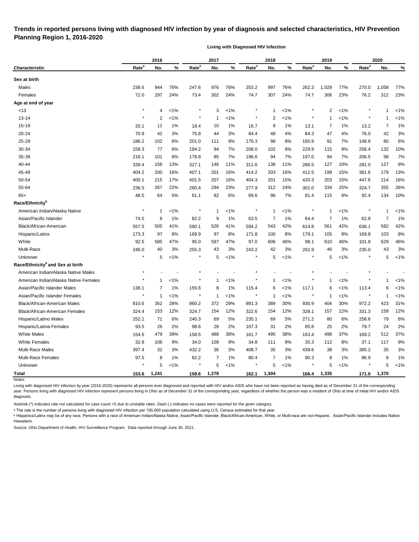# **Trends in reported persons living with diagnosed HIV infection by year of diagnosis and selected characteristics, HIV Prevention Planning Region 1, 2016-2020**

**Living with Diagnosed HIV Infection**

|                                              |                   | 2016        |         |                   | 2017         |         |                   | 2018           |         |                   | 2019         |         |                   | 2020  |         |
|----------------------------------------------|-------------------|-------------|---------|-------------------|--------------|---------|-------------------|----------------|---------|-------------------|--------------|---------|-------------------|-------|---------|
| <b>Characteristic</b>                        | Rate <sup>a</sup> | No.         | %       | Rate <sup>a</sup> | No.          | $\%$    | Rate <sup>a</sup> | No.            | %       | Rate <sup>a</sup> | No.          | %       | Rate <sup>a</sup> | No.   | %       |
| Sex at birth                                 |                   |             |         |                   |              |         |                   |                |         |                   |              |         |                   |       |         |
| Males                                        | 238.6             | 944         | 76%     | 247.6             | 976          | 76%     | 253.2             | 997            | 76%     | 262.3             | 1,029        | 77%     | 270.0             | 1,058 | 77%     |
| Females                                      | 72.0              | 297         | 24%     | 73.4              | 302          | 24%     | 74.7              | 307            | 24%     | 74.7              | 306          | 23%     | 76.2              | 312   | 23%     |
| Age at end of year                           |                   |             |         |                   |              |         |                   |                |         |                   |              |         |                   |       |         |
| < 13                                         |                   | 4           | $< 1\%$ |                   | 3            | $< 1\%$ |                   | $\mathbf 1$    | $< 1\%$ |                   | 2            | $< 1\%$ |                   | 1     | $< 1\%$ |
| $13 - 14$                                    |                   | 2           | 1%      | $\ast$            | $\mathbf{1}$ | <1%     |                   | $\overline{2}$ | $< 1\%$ |                   | $\mathbf{1}$ | $< 1\%$ |                   | 1     | $< 1\%$ |
| $15 - 19$                                    | 20.1              | 11          | 1%      | 18.4              | 10           | $1\%$   | 16.7              | 9              | 1%      | 13.1              | 7            | 1%      | 13.2              | 7     | 1%      |
| 20-24                                        | 70.9              | 42          | 3%      | 75.8              | 44           | 3%      | 84.4              | 48             | 4%      | 84.3              | 47           | 4%      | 76.0              | 42    | 3%      |
| 25-29                                        | 186.2             | 102         | 8%      | 201.0             | 111          | 9%      | 176.3             | 98             | 8%      | 165.9             | 91           | 7%      | 148.8             | 80    | 6%      |
| 30-34                                        | 158.3             | 77          | 6%      | 194.2             | 94           | 7%      | 208.0             | 102            | 8%      | 229.9             | 115          | 9%      | 256.4             | 132   | 10%     |
| 35-39                                        | 216.1             | 101         | 8%      | 178.8             | 85           | 7%      | 196.6             | 94             | 7%      | 197.0             | 94           | 7%      | 206.5             | 98    | 7%      |
| 40-44                                        | 339.4             | 156         | 13%     | 327.1             | 146          | 11%     | 311.6             | 138            | 11%     | 286.5             | 127          | 10%     | 281.0             | 127   | 9%      |
| 45-49                                        | 404.2             | 200         | 16%     | 407.1             | 201          | 16%     | 414.2             | 203            | 16%     | 412.5             | 199          | 15%     | 381.6             | 179   | 13%     |
| 50-54                                        | 400.1             | 215         | 17%     | 401.5             | 207          | 16%     | 404.3             | 201            | 15%     | 420.3             | 203          | 15%     | 447.6             | 214   | 16%     |
| 55-64                                        | 236.5             | 267         | 22%     | 260.4             | 294          | 23%     | 277.9             | 312            | 24%     | 301.0             | 334          | 25%     | 324.7             | 355   | 26%     |
| $65+$                                        | 48.5              | 64          | 5%      | 61.1              | 82           | 6%      | 69.6              | 96             | 7%      | 81.4              | 115          | 9%      | 92.4              | 134   | 10%     |
| Race/Ethnicity <sup>b</sup>                  |                   |             |         |                   |              |         |                   |                |         |                   |              |         |                   |       |         |
| American Indian/Alaska Native                | $\star$           | $\mathbf 1$ | $1\%$   | $\ast$            | $\mathbf{1}$ | $1\%$   |                   | -1             | $< 1\%$ |                   | $\mathbf{1}$ | $< 1\%$ |                   | 1     | $< 1\%$ |
| Asian/Pacific Islander                       | 74.5              | 8           | 1%      | 82.2              | 9            | $1\%$   | 63.5              | 7              | $1\%$   | 64.4              | 7            | 1%      | 62.8              | 7     | 1%      |
| Black/African-American                       | 557.5             | 505         | 41%     | 580.1             | 526          | 41%     | 594.2             | 543            | 42%     | 614.8             | 561          | 42%     | 636.1             | 582   | 42%     |
| Hispanic/Latinx                              | 173.3             | 97          | 8%      | 169.9             | 97           | 8%      | 171.8             | 100            | 8%      | 179.1             | 105          | 8%      | 169.8             | 103   | 8%      |
| White                                        | 92.5              | 585         | 47%     | 95.0              | 597          | 47%     | 97.0              | 606            | 46%     | 98.1              | 610          | 46%     | 101.8             | 629   | 46%     |
| Multi-Race                                   | 246.0             | 40          | 3%      | 255.3             | 43           | 3%      | 243.2             | 42             | 3%      | 262.9             | 46           | 3%      | 235.0             | 43    | 3%      |
| Unknown                                      |                   | 5           | 1%      |                   | 5            | $< 1\%$ |                   | 5              | $< 1\%$ |                   | 5            | $< 1\%$ |                   | 5     | $< 1\%$ |
| Race/Ethnicity <sup>b</sup> and Sex at birth |                   |             |         |                   |              |         |                   |                |         |                   |              |         |                   |       |         |
| American Indian/Alaska Native Males          |                   |             |         |                   |              |         |                   |                |         |                   |              |         |                   |       |         |
| American Indian/Alaska Native Females        |                   | 1           | $< 1\%$ |                   | 1            | <1%     |                   | 1              | $< 1\%$ |                   | 1            | $< 1\%$ |                   | 1     | $< 1\%$ |
| Asian/Pacific Islander Males                 | 138.1             | 7           | 1%      | 155.6             | 8            | $1\%$   | 115.4             | 6              | $< 1\%$ | 117.1             | 6            | $< 1\%$ | 113.4             | 6     | $< 1\%$ |
| Asian/Pacific Islander Females               |                   | -1          | 1%      | $\ast$            | -1           | $< 1\%$ |                   | -1             | $< 1\%$ |                   | -1           | $< 1\%$ |                   | -1    | $< 1\%$ |
| Black/African-American Males                 | 810.6             | 352         | 28%     | 860.2             | 372          | 29%     | 891.3             | 389            | 30%     | 930.9             | 404          | 30%     | 972.2             | 423   | 31%     |
| Black/African-American Females               | 324.4             | 153         | 12%     | 324.7             | 154          | 12%     | 322.6             | 154            | 12%     | 328.1             | 157          | 12%     | 331.3             | 159   | 12%     |
| Hispanic/Latino Males                        | 252.1             | 71          | 6%      | 240.3             | 69           | 5%      | 235.1             | 69             | 5%      | 271.2             | 80           | 6%      | 258.6             | 79    | 6%      |
| Hispanic/Latina Females                      | 93.5              | 26          | 2%      | 98.6              | 28           | 2%      | 107.3             | 31             | 2%      | 85.8              | 25           | 2%      | 79.7              | 24    | 2%      |
| <b>White Males</b>                           | 154.5             | 479         | 39%     | 158.5             | 488          | 38%     | 161.7             | 495            | 38%     | 163.4             | 498          | 37%     | 169.2             | 512   | 37%     |
| <b>White Females</b>                         | 32.8              | 106         | 9%      | 34.0              | 109          | 9%      | 34.8              | 111            | 9%      | 35.3              | 112          | 8%      | 37.1              | 117   | 9%      |
| Multi-Race Males                             | 397.4             | 32          | 3%      | 432.2             | 36           | 3%      | 408.7             | 35             | 3%      | 439.6             | 38           | 3%      | 385.2             | 35    | 3%      |
| Multi-Race Females                           | 97.5              | 8           | 1%      | 82.2              | 7            | $1\%$   | 80.4              | 7              | $1\%$   | 90.3              | 8            | 1%      | 86.9              | 8     | 1%      |
| Unknown                                      |                   | 5           | $< 1\%$ | $\star$           | 5            | $< 1\%$ |                   | 5              | $< 1\%$ |                   | 5            | $1\%$   |                   | 5     | $< 1\%$ |
| <b>Total</b>                                 | 153.6             | 1,241       |         | 158.6             | 1,278        |         | 162.1             | 1,304          |         | 166.4             | 1,335        |         | 171.0             | 1,370 |         |
| Notes:                                       |                   |             |         |                   |              |         |                   |                |         |                   |              |         |                   |       |         |

Living with diagnosed HIV infection by year (2016-2020) represents all persons ever diagnosed and reported with HIV and/or AIDS who have not been reported as having died as of December 31 of the corresponding year. Persons living with diagnosed HIV infection represent persons living in Ohio as of December 31 of the corresponding year, regardless of whether the person was a resident of Ohio at time of initial HIV and/or AIDS diagnosis.

Asterisk (\*) indicates rate not calculated for case count <5 due to unstable rates. Dash (-) indicates no cases were reported for the given category.

a The rate is the number of persons living with diagnosed HIV infection per 100,000 population calculated using U.S. Census estimates for that year.

**b** Hispanics/Latinx may be of any race. Persons with a race of American Indian/Alaska Native, Asian/Pacific Islander, Black/African-American, White, or Multi-race are not-Hispanic. Asian/Pacific Islander includes Native Hawaiians.